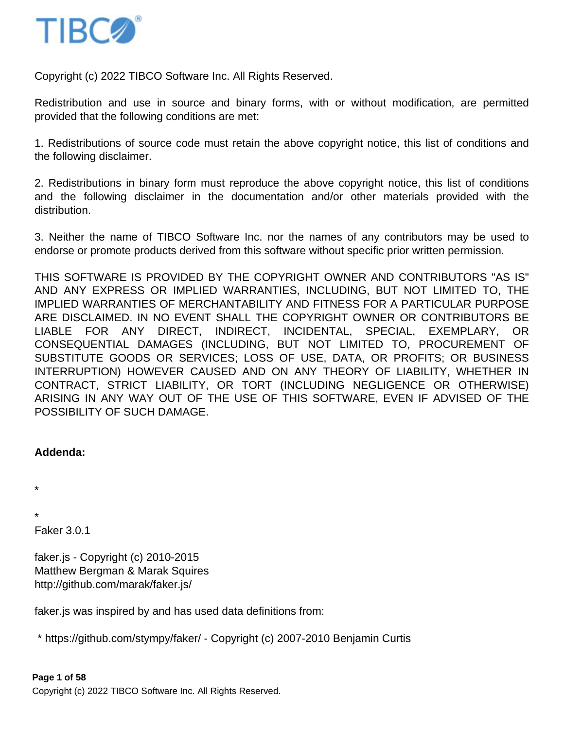

Copyright (c) 2022 TIBCO Software Inc. All Rights Reserved.

Redistribution and use in source and binary forms, with or without modification, are permitted provided that the following conditions are met:

1. Redistributions of source code must retain the above copyright notice, this list of conditions and the following disclaimer.

2. Redistributions in binary form must reproduce the above copyright notice, this list of conditions and the following disclaimer in the documentation and/or other materials provided with the distribution.

3. Neither the name of TIBCO Software Inc. nor the names of any contributors may be used to endorse or promote products derived from this software without specific prior written permission.

THIS SOFTWARE IS PROVIDED BY THE COPYRIGHT OWNER AND CONTRIBUTORS "AS IS" AND ANY EXPRESS OR IMPLIED WARRANTIES, INCLUDING, BUT NOT LIMITED TO, THE IMPLIED WARRANTIES OF MERCHANTABILITY AND FITNESS FOR A PARTICULAR PURPOSE ARE DISCLAIMED. IN NO EVENT SHALL THE COPYRIGHT OWNER OR CONTRIBUTORS BE LIABLE FOR ANY DIRECT, INDIRECT, INCIDENTAL, SPECIAL, EXEMPLARY, OR CONSEQUENTIAL DAMAGES (INCLUDING, BUT NOT LIMITED TO, PROCUREMENT OF SUBSTITUTE GOODS OR SERVICES; LOSS OF USE, DATA, OR PROFITS; OR BUSINESS INTERRUPTION) HOWEVER CAUSED AND ON ANY THEORY OF LIABILITY, WHETHER IN CONTRACT, STRICT LIABILITY, OR TORT (INCLUDING NEGLIGENCE OR OTHERWISE) ARISING IN ANY WAY OUT OF THE USE OF THIS SOFTWARE, EVEN IF ADVISED OF THE POSSIBILITY OF SUCH DAMAGE.

### **Addenda:**

\*

\*

Faker 3.0.1

faker.js - Copyright (c) 2010-2015 Matthew Bergman & Marak Squires http://github.com/marak/faker.js/

faker.js was inspired by and has used data definitions from:

\* https://github.com/stympy/faker/ - Copyright (c) 2007-2010 Benjamin Curtis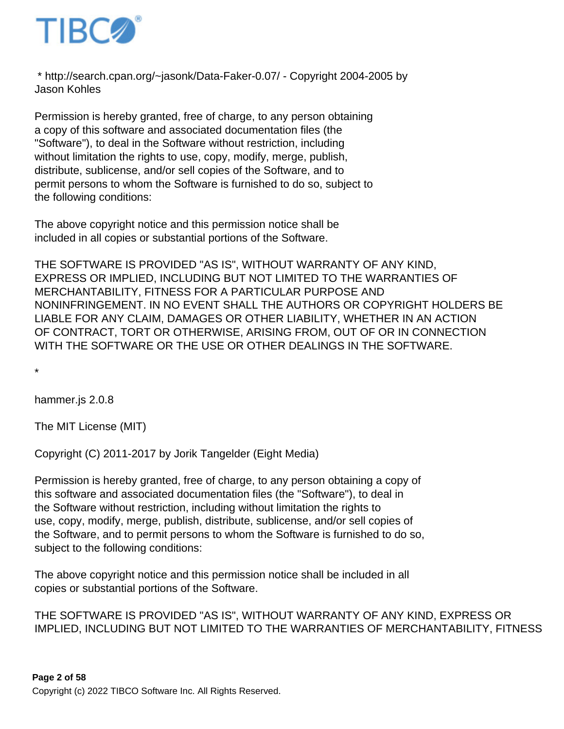

 \* http://search.cpan.org/~jasonk/Data-Faker-0.07/ - Copyright 2004-2005 by Jason Kohles

Permission is hereby granted, free of charge, to any person obtaining a copy of this software and associated documentation files (the "Software"), to deal in the Software without restriction, including without limitation the rights to use, copy, modify, merge, publish, distribute, sublicense, and/or sell copies of the Software, and to permit persons to whom the Software is furnished to do so, subject to the following conditions:

The above copyright notice and this permission notice shall be included in all copies or substantial portions of the Software.

THE SOFTWARE IS PROVIDED "AS IS", WITHOUT WARRANTY OF ANY KIND, EXPRESS OR IMPLIED, INCLUDING BUT NOT LIMITED TO THE WARRANTIES OF MERCHANTABILITY, FITNESS FOR A PARTICULAR PURPOSE AND NONINFRINGEMENT. IN NO EVENT SHALL THE AUTHORS OR COPYRIGHT HOLDERS BE LIABLE FOR ANY CLAIM, DAMAGES OR OTHER LIABILITY, WHETHER IN AN ACTION OF CONTRACT, TORT OR OTHERWISE, ARISING FROM, OUT OF OR IN CONNECTION WITH THE SOFTWARE OR THE USE OR OTHER DEALINGS IN THE SOFTWARE.

\*

hammer.js 2.0.8

The MIT License (MIT)

Copyright (C) 2011-2017 by Jorik Tangelder (Eight Media)

Permission is hereby granted, free of charge, to any person obtaining a copy of this software and associated documentation files (the "Software"), to deal in the Software without restriction, including without limitation the rights to use, copy, modify, merge, publish, distribute, sublicense, and/or sell copies of the Software, and to permit persons to whom the Software is furnished to do so, subject to the following conditions:

The above copyright notice and this permission notice shall be included in all copies or substantial portions of the Software.

THE SOFTWARE IS PROVIDED "AS IS", WITHOUT WARRANTY OF ANY KIND, EXPRESS OR IMPLIED, INCLUDING BUT NOT LIMITED TO THE WARRANTIES OF MERCHANTABILITY, FITNESS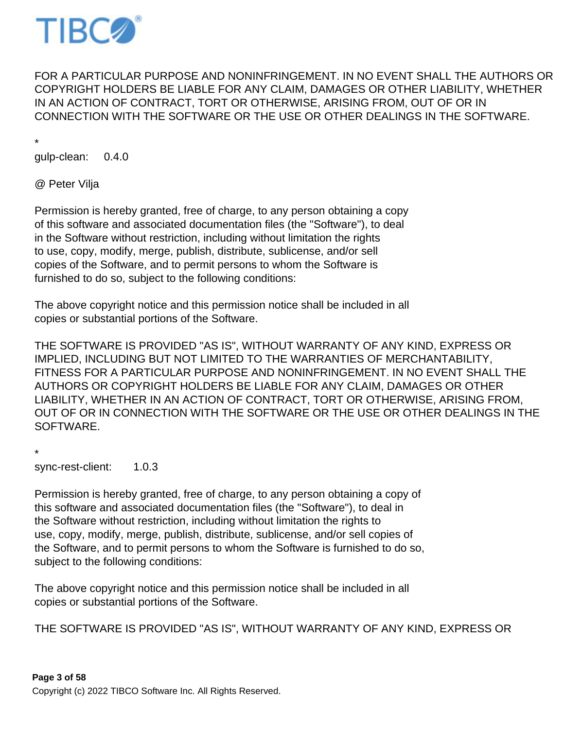

FOR A PARTICULAR PURPOSE AND NONINFRINGEMENT. IN NO EVENT SHALL THE AUTHORS OR COPYRIGHT HOLDERS BE LIABLE FOR ANY CLAIM, DAMAGES OR OTHER LIABILITY, WHETHER IN AN ACTION OF CONTRACT, TORT OR OTHERWISE, ARISING FROM, OUT OF OR IN CONNECTION WITH THE SOFTWARE OR THE USE OR OTHER DEALINGS IN THE SOFTWARE.

\*

gulp-clean: 0.4.0

@ Peter Vilja

Permission is hereby granted, free of charge, to any person obtaining a copy of this software and associated documentation files (the "Software"), to deal in the Software without restriction, including without limitation the rights to use, copy, modify, merge, publish, distribute, sublicense, and/or sell copies of the Software, and to permit persons to whom the Software is furnished to do so, subject to the following conditions:

The above copyright notice and this permission notice shall be included in all copies or substantial portions of the Software.

THE SOFTWARE IS PROVIDED "AS IS", WITHOUT WARRANTY OF ANY KIND, EXPRESS OR IMPLIED, INCLUDING BUT NOT LIMITED TO THE WARRANTIES OF MERCHANTABILITY, FITNESS FOR A PARTICULAR PURPOSE AND NONINFRINGEMENT. IN NO EVENT SHALL THE AUTHORS OR COPYRIGHT HOLDERS BE LIABLE FOR ANY CLAIM, DAMAGES OR OTHER LIABILITY, WHETHER IN AN ACTION OF CONTRACT, TORT OR OTHERWISE, ARISING FROM, OUT OF OR IN CONNECTION WITH THE SOFTWARE OR THE USE OR OTHER DEALINGS IN THE SOFTWARE.

\* sync-rest-client: 1.0.3

Permission is hereby granted, free of charge, to any person obtaining a copy of this software and associated documentation files (the "Software"), to deal in the Software without restriction, including without limitation the rights to use, copy, modify, merge, publish, distribute, sublicense, and/or sell copies of the Software, and to permit persons to whom the Software is furnished to do so, subject to the following conditions:

The above copyright notice and this permission notice shall be included in all copies or substantial portions of the Software.

THE SOFTWARE IS PROVIDED "AS IS", WITHOUT WARRANTY OF ANY KIND, EXPRESS OR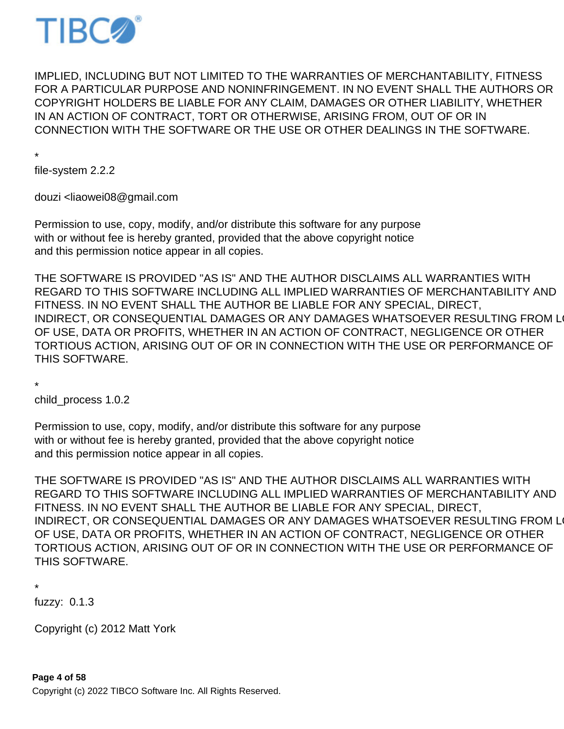

IMPLIED, INCLUDING BUT NOT LIMITED TO THE WARRANTIES OF MERCHANTABILITY, FITNESS FOR A PARTICULAR PURPOSE AND NONINFRINGEMENT. IN NO EVENT SHALL THE AUTHORS OR COPYRIGHT HOLDERS BE LIABLE FOR ANY CLAIM, DAMAGES OR OTHER LIABILITY, WHETHER IN AN ACTION OF CONTRACT, TORT OR OTHERWISE, ARISING FROM, OUT OF OR IN CONNECTION WITH THE SOFTWARE OR THE USE OR OTHER DEALINGS IN THE SOFTWARE.

\*

file-system 2.2.2

douzi <liaowei08@gmail.com

Permission to use, copy, modify, and/or distribute this software for any purpose with or without fee is hereby granted, provided that the above copyright notice and this permission notice appear in all copies.

THE SOFTWARE IS PROVIDED "AS IS" AND THE AUTHOR DISCLAIMS ALL WARRANTIES WITH REGARD TO THIS SOFTWARE INCLUDING ALL IMPLIED WARRANTIES OF MERCHANTABILITY AND FITNESS. IN NO EVENT SHALL THE AUTHOR BE LIABLE FOR ANY SPECIAL, DIRECT, INDIRECT, OR CONSEQUENTIAL DAMAGES OR ANY DAMAGES WHATSOEVER RESULTING FROM LOST OF USE, DATA OR PROFITS, WHETHER IN AN ACTION OF CONTRACT, NEGLIGENCE OR OTHER TORTIOUS ACTION, ARISING OUT OF OR IN CONNECTION WITH THE USE OR PERFORMANCE OF THIS SOFTWARE.

\*

child\_process 1.0.2

Permission to use, copy, modify, and/or distribute this software for any purpose with or without fee is hereby granted, provided that the above copyright notice and this permission notice appear in all copies.

THE SOFTWARE IS PROVIDED "AS IS" AND THE AUTHOR DISCLAIMS ALL WARRANTIES WITH REGARD TO THIS SOFTWARE INCLUDING ALL IMPLIED WARRANTIES OF MERCHANTABILITY AND FITNESS. IN NO EVENT SHALL THE AUTHOR BE LIABLE FOR ANY SPECIAL, DIRECT, INDIRECT, OR CONSEQUENTIAL DAMAGES OR ANY DAMAGES WHATSOEVER RESULTING FROM LOST OF USE, DATA OR PROFITS, WHETHER IN AN ACTION OF CONTRACT, NEGLIGENCE OR OTHER TORTIOUS ACTION, ARISING OUT OF OR IN CONNECTION WITH THE USE OR PERFORMANCE OF THIS SOFTWARE.

\*

fuzzy: 0.1.3

Copyright (c) 2012 Matt York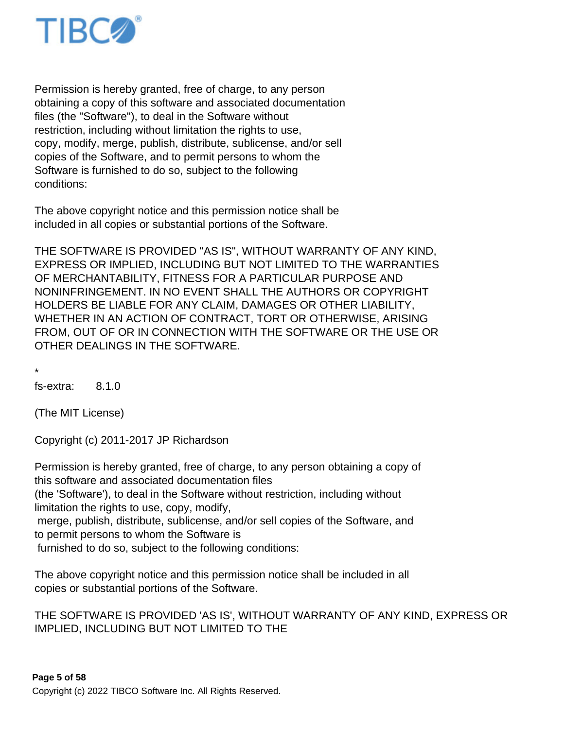

Permission is hereby granted, free of charge, to any person obtaining a copy of this software and associated documentation files (the "Software"), to deal in the Software without restriction, including without limitation the rights to use, copy, modify, merge, publish, distribute, sublicense, and/or sell copies of the Software, and to permit persons to whom the Software is furnished to do so, subject to the following conditions:

The above copyright notice and this permission notice shall be included in all copies or substantial portions of the Software.

THE SOFTWARE IS PROVIDED "AS IS", WITHOUT WARRANTY OF ANY KIND, EXPRESS OR IMPLIED, INCLUDING BUT NOT LIMITED TO THE WARRANTIES OF MERCHANTABILITY, FITNESS FOR A PARTICULAR PURPOSE AND NONINFRINGEMENT. IN NO EVENT SHALL THE AUTHORS OR COPYRIGHT HOLDERS BE LIABLE FOR ANY CLAIM, DAMAGES OR OTHER LIABILITY, WHETHER IN AN ACTION OF CONTRACT, TORT OR OTHERWISE, ARISING FROM, OUT OF OR IN CONNECTION WITH THE SOFTWARE OR THE USE OR OTHER DEALINGS IN THE SOFTWARE.

\*

fs-extra: 8.1.0

(The MIT License)

Copyright (c) 2011-2017 JP Richardson

Permission is hereby granted, free of charge, to any person obtaining a copy of this software and associated documentation files (the 'Software'), to deal in the Software without restriction, including without limitation the rights to use, copy, modify, merge, publish, distribute, sublicense, and/or sell copies of the Software, and to permit persons to whom the Software is furnished to do so, subject to the following conditions:

The above copyright notice and this permission notice shall be included in all copies or substantial portions of the Software.

THE SOFTWARE IS PROVIDED 'AS IS', WITHOUT WARRANTY OF ANY KIND, EXPRESS OR IMPLIED, INCLUDING BUT NOT LIMITED TO THE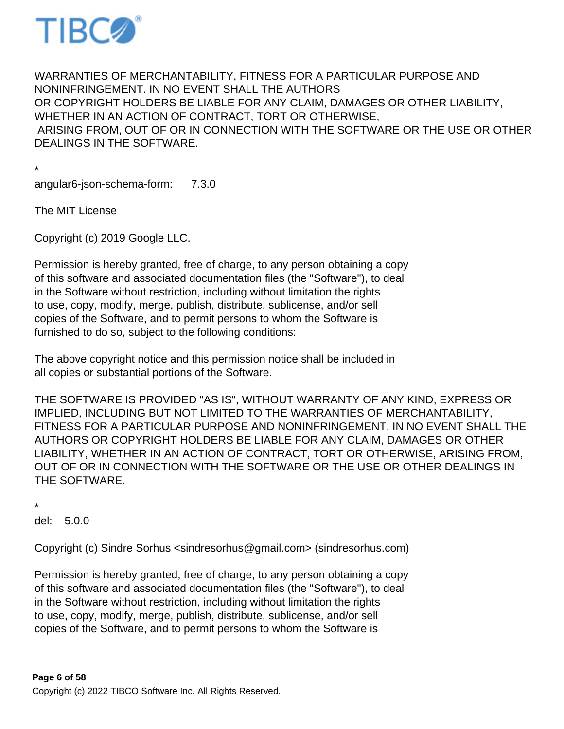

WARRANTIES OF MERCHANTABILITY, FITNESS FOR A PARTICULAR PURPOSE AND NONINFRINGEMENT. IN NO EVENT SHALL THE AUTHORS OR COPYRIGHT HOLDERS BE LIABLE FOR ANY CLAIM, DAMAGES OR OTHER LIABILITY, WHETHER IN AN ACTION OF CONTRACT, TORT OR OTHERWISE, ARISING FROM, OUT OF OR IN CONNECTION WITH THE SOFTWARE OR THE USE OR OTHER DEALINGS IN THE SOFTWARE.

\* angular6-json-schema-form: 7.3.0

The MIT License

Copyright (c) 2019 Google LLC.

Permission is hereby granted, free of charge, to any person obtaining a copy of this software and associated documentation files (the "Software"), to deal in the Software without restriction, including without limitation the rights to use, copy, modify, merge, publish, distribute, sublicense, and/or sell copies of the Software, and to permit persons to whom the Software is furnished to do so, subject to the following conditions:

The above copyright notice and this permission notice shall be included in all copies or substantial portions of the Software.

THE SOFTWARE IS PROVIDED "AS IS", WITHOUT WARRANTY OF ANY KIND, EXPRESS OR IMPLIED, INCLUDING BUT NOT LIMITED TO THE WARRANTIES OF MERCHANTABILITY, FITNESS FOR A PARTICULAR PURPOSE AND NONINFRINGEMENT. IN NO EVENT SHALL THE AUTHORS OR COPYRIGHT HOLDERS BE LIABLE FOR ANY CLAIM, DAMAGES OR OTHER LIABILITY, WHETHER IN AN ACTION OF CONTRACT, TORT OR OTHERWISE, ARISING FROM, OUT OF OR IN CONNECTION WITH THE SOFTWARE OR THE USE OR OTHER DEALINGS IN THE SOFTWARE.

\*

del: 5.0.0

Copyright (c) Sindre Sorhus <sindresorhus@gmail.com> (sindresorhus.com)

Permission is hereby granted, free of charge, to any person obtaining a copy of this software and associated documentation files (the "Software"), to deal in the Software without restriction, including without limitation the rights to use, copy, modify, merge, publish, distribute, sublicense, and/or sell copies of the Software, and to permit persons to whom the Software is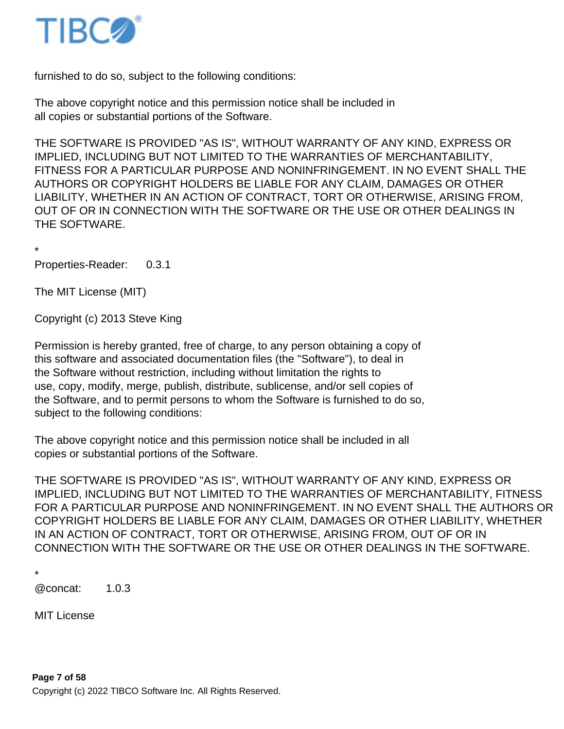

furnished to do so, subject to the following conditions:

The above copyright notice and this permission notice shall be included in all copies or substantial portions of the Software.

THE SOFTWARE IS PROVIDED "AS IS", WITHOUT WARRANTY OF ANY KIND, EXPRESS OR IMPLIED, INCLUDING BUT NOT LIMITED TO THE WARRANTIES OF MERCHANTABILITY, FITNESS FOR A PARTICULAR PURPOSE AND NONINFRINGEMENT. IN NO EVENT SHALL THE AUTHORS OR COPYRIGHT HOLDERS BE LIABLE FOR ANY CLAIM, DAMAGES OR OTHER LIABILITY, WHETHER IN AN ACTION OF CONTRACT, TORT OR OTHERWISE, ARISING FROM, OUT OF OR IN CONNECTION WITH THE SOFTWARE OR THE USE OR OTHER DEALINGS IN THE SOFTWARE.

\* Properties-Reader: 0.3.1

The MIT License (MIT)

Copyright (c) 2013 Steve King

Permission is hereby granted, free of charge, to any person obtaining a copy of this software and associated documentation files (the "Software"), to deal in the Software without restriction, including without limitation the rights to use, copy, modify, merge, publish, distribute, sublicense, and/or sell copies of the Software, and to permit persons to whom the Software is furnished to do so, subject to the following conditions:

The above copyright notice and this permission notice shall be included in all copies or substantial portions of the Software.

THE SOFTWARE IS PROVIDED "AS IS", WITHOUT WARRANTY OF ANY KIND, EXPRESS OR IMPLIED, INCLUDING BUT NOT LIMITED TO THE WARRANTIES OF MERCHANTABILITY, FITNESS FOR A PARTICULAR PURPOSE AND NONINFRINGEMENT. IN NO EVENT SHALL THE AUTHORS OR COPYRIGHT HOLDERS BE LIABLE FOR ANY CLAIM, DAMAGES OR OTHER LIABILITY, WHETHER IN AN ACTION OF CONTRACT, TORT OR OTHERWISE, ARISING FROM, OUT OF OR IN CONNECTION WITH THE SOFTWARE OR THE USE OR OTHER DEALINGS IN THE SOFTWARE.

\*

@concat: 1.0.3

MIT License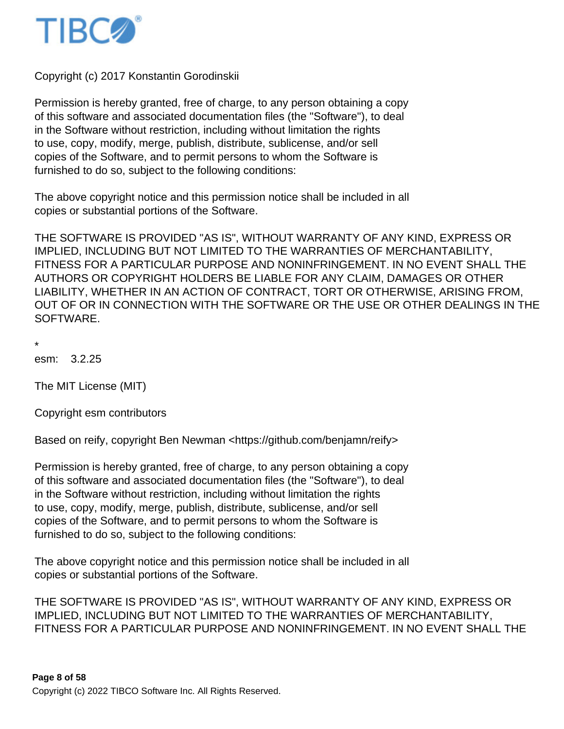

Copyright (c) 2017 Konstantin Gorodinskii

Permission is hereby granted, free of charge, to any person obtaining a copy of this software and associated documentation files (the "Software"), to deal in the Software without restriction, including without limitation the rights to use, copy, modify, merge, publish, distribute, sublicense, and/or sell copies of the Software, and to permit persons to whom the Software is furnished to do so, subject to the following conditions:

The above copyright notice and this permission notice shall be included in all copies or substantial portions of the Software.

THE SOFTWARE IS PROVIDED "AS IS", WITHOUT WARRANTY OF ANY KIND, EXPRESS OR IMPLIED, INCLUDING BUT NOT LIMITED TO THE WARRANTIES OF MERCHANTABILITY, FITNESS FOR A PARTICULAR PURPOSE AND NONINFRINGEMENT. IN NO EVENT SHALL THE AUTHORS OR COPYRIGHT HOLDERS BE LIABLE FOR ANY CLAIM, DAMAGES OR OTHER LIABILITY, WHETHER IN AN ACTION OF CONTRACT, TORT OR OTHERWISE, ARISING FROM, OUT OF OR IN CONNECTION WITH THE SOFTWARE OR THE USE OR OTHER DEALINGS IN THE SOFTWARE.

\*

esm: 3.2.25

The MIT License (MIT)

Copyright esm contributors

Based on reify, copyright Ben Newman <https://github.com/benjamn/reify>

Permission is hereby granted, free of charge, to any person obtaining a copy of this software and associated documentation files (the "Software"), to deal in the Software without restriction, including without limitation the rights to use, copy, modify, merge, publish, distribute, sublicense, and/or sell copies of the Software, and to permit persons to whom the Software is furnished to do so, subject to the following conditions:

The above copyright notice and this permission notice shall be included in all copies or substantial portions of the Software.

THE SOFTWARE IS PROVIDED "AS IS", WITHOUT WARRANTY OF ANY KIND, EXPRESS OR IMPLIED, INCLUDING BUT NOT LIMITED TO THE WARRANTIES OF MERCHANTABILITY, FITNESS FOR A PARTICULAR PURPOSE AND NONINFRINGEMENT. IN NO EVENT SHALL THE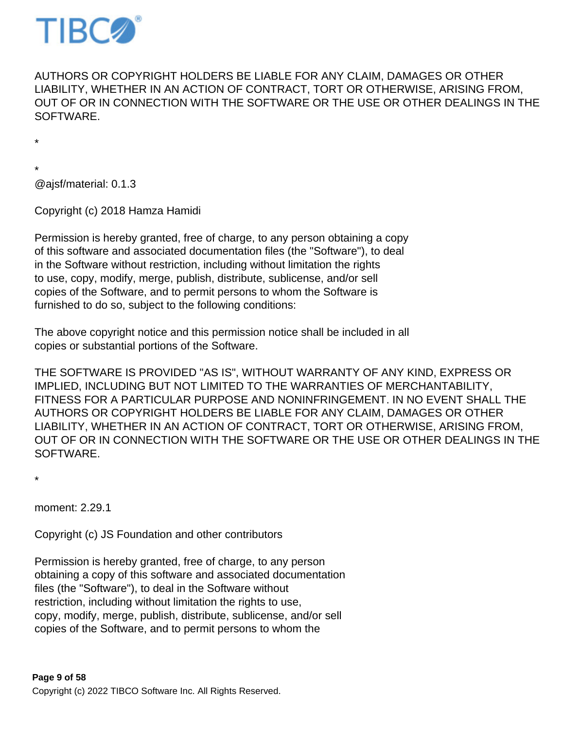

AUTHORS OR COPYRIGHT HOLDERS BE LIABLE FOR ANY CLAIM, DAMAGES OR OTHER LIABILITY, WHETHER IN AN ACTION OF CONTRACT, TORT OR OTHERWISE, ARISING FROM, OUT OF OR IN CONNECTION WITH THE SOFTWARE OR THE USE OR OTHER DEALINGS IN THE SOFTWARE.

\*

\* @ajsf/material: 0.1.3

Copyright (c) 2018 Hamza Hamidi

Permission is hereby granted, free of charge, to any person obtaining a copy of this software and associated documentation files (the "Software"), to deal in the Software without restriction, including without limitation the rights to use, copy, modify, merge, publish, distribute, sublicense, and/or sell copies of the Software, and to permit persons to whom the Software is furnished to do so, subject to the following conditions:

The above copyright notice and this permission notice shall be included in all copies or substantial portions of the Software.

THE SOFTWARE IS PROVIDED "AS IS", WITHOUT WARRANTY OF ANY KIND, EXPRESS OR IMPLIED, INCLUDING BUT NOT LIMITED TO THE WARRANTIES OF MERCHANTABILITY, FITNESS FOR A PARTICULAR PURPOSE AND NONINFRINGEMENT. IN NO EVENT SHALL THE AUTHORS OR COPYRIGHT HOLDERS BE LIABLE FOR ANY CLAIM, DAMAGES OR OTHER LIABILITY, WHETHER IN AN ACTION OF CONTRACT, TORT OR OTHERWISE, ARISING FROM, OUT OF OR IN CONNECTION WITH THE SOFTWARE OR THE USE OR OTHER DEALINGS IN THE SOFTWARE.

\*

moment: 2.29.1

Copyright (c) JS Foundation and other contributors

Permission is hereby granted, free of charge, to any person obtaining a copy of this software and associated documentation files (the "Software"), to deal in the Software without restriction, including without limitation the rights to use, copy, modify, merge, publish, distribute, sublicense, and/or sell copies of the Software, and to permit persons to whom the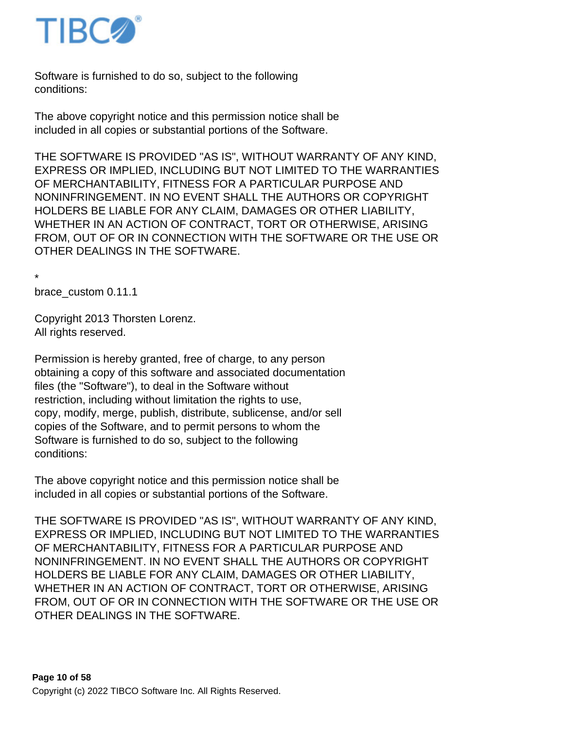

Software is furnished to do so, subject to the following conditions:

The above copyright notice and this permission notice shall be included in all copies or substantial portions of the Software.

THE SOFTWARE IS PROVIDED "AS IS", WITHOUT WARRANTY OF ANY KIND, EXPRESS OR IMPLIED, INCLUDING BUT NOT LIMITED TO THE WARRANTIES OF MERCHANTABILITY, FITNESS FOR A PARTICULAR PURPOSE AND NONINFRINGEMENT. IN NO EVENT SHALL THE AUTHORS OR COPYRIGHT HOLDERS BE LIABLE FOR ANY CLAIM, DAMAGES OR OTHER LIABILITY, WHETHER IN AN ACTION OF CONTRACT, TORT OR OTHERWISE, ARISING FROM, OUT OF OR IN CONNECTION WITH THE SOFTWARE OR THE USE OR OTHER DEALINGS IN THE SOFTWARE.

\* brace\_custom 0.11.1

Copyright 2013 Thorsten Lorenz. All rights reserved.

Permission is hereby granted, free of charge, to any person obtaining a copy of this software and associated documentation files (the "Software"), to deal in the Software without restriction, including without limitation the rights to use, copy, modify, merge, publish, distribute, sublicense, and/or sell copies of the Software, and to permit persons to whom the Software is furnished to do so, subject to the following conditions:

The above copyright notice and this permission notice shall be included in all copies or substantial portions of the Software.

THE SOFTWARE IS PROVIDED "AS IS", WITHOUT WARRANTY OF ANY KIND, EXPRESS OR IMPLIED, INCLUDING BUT NOT LIMITED TO THE WARRANTIES OF MERCHANTABILITY, FITNESS FOR A PARTICULAR PURPOSE AND NONINFRINGEMENT. IN NO EVENT SHALL THE AUTHORS OR COPYRIGHT HOLDERS BE LIABLE FOR ANY CLAIM, DAMAGES OR OTHER LIABILITY, WHETHER IN AN ACTION OF CONTRACT, TORT OR OTHERWISE, ARISING FROM, OUT OF OR IN CONNECTION WITH THE SOFTWARE OR THE USE OR OTHER DEALINGS IN THE SOFTWARE.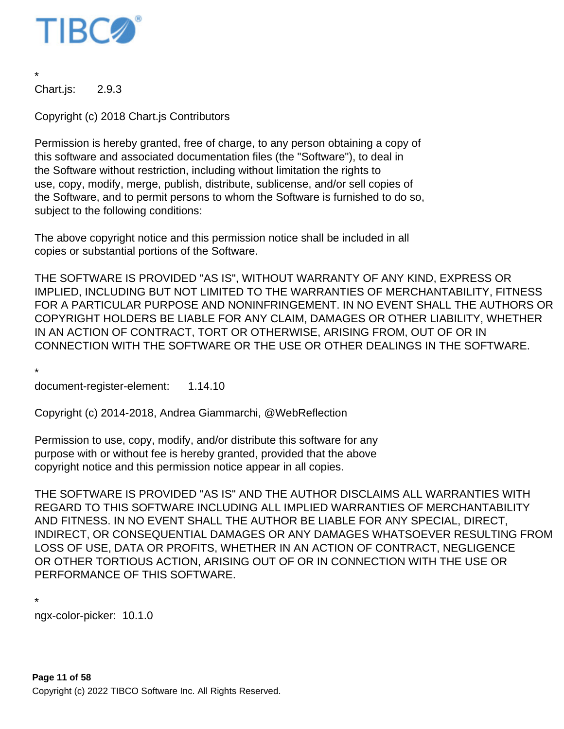

\* Chart.js: 2.9.3

Copyright (c) 2018 Chart.js Contributors

Permission is hereby granted, free of charge, to any person obtaining a copy of this software and associated documentation files (the "Software"), to deal in the Software without restriction, including without limitation the rights to use, copy, modify, merge, publish, distribute, sublicense, and/or sell copies of the Software, and to permit persons to whom the Software is furnished to do so, subject to the following conditions:

The above copyright notice and this permission notice shall be included in all copies or substantial portions of the Software.

THE SOFTWARE IS PROVIDED "AS IS", WITHOUT WARRANTY OF ANY KIND, EXPRESS OR IMPLIED, INCLUDING BUT NOT LIMITED TO THE WARRANTIES OF MERCHANTABILITY, FITNESS FOR A PARTICULAR PURPOSE AND NONINFRINGEMENT. IN NO EVENT SHALL THE AUTHORS OR COPYRIGHT HOLDERS BE LIABLE FOR ANY CLAIM, DAMAGES OR OTHER LIABILITY, WHETHER IN AN ACTION OF CONTRACT, TORT OR OTHERWISE, ARISING FROM, OUT OF OR IN CONNECTION WITH THE SOFTWARE OR THE USE OR OTHER DEALINGS IN THE SOFTWARE.

\*

document-register-element: 1.14.10

Copyright (c) 2014-2018, Andrea Giammarchi, @WebReflection

Permission to use, copy, modify, and/or distribute this software for any purpose with or without fee is hereby granted, provided that the above copyright notice and this permission notice appear in all copies.

THE SOFTWARE IS PROVIDED "AS IS" AND THE AUTHOR DISCLAIMS ALL WARRANTIES WITH REGARD TO THIS SOFTWARE INCLUDING ALL IMPLIED WARRANTIES OF MERCHANTABILITY AND FITNESS. IN NO EVENT SHALL THE AUTHOR BE LIABLE FOR ANY SPECIAL, DIRECT, INDIRECT, OR CONSEQUENTIAL DAMAGES OR ANY DAMAGES WHATSOEVER RESULTING FROM LOSS OF USE, DATA OR PROFITS, WHETHER IN AN ACTION OF CONTRACT, NEGLIGENCE OR OTHER TORTIOUS ACTION, ARISING OUT OF OR IN CONNECTION WITH THE USE OR PERFORMANCE OF THIS SOFTWARE.

```
* 
ngx-color-picker: 10.1.0
```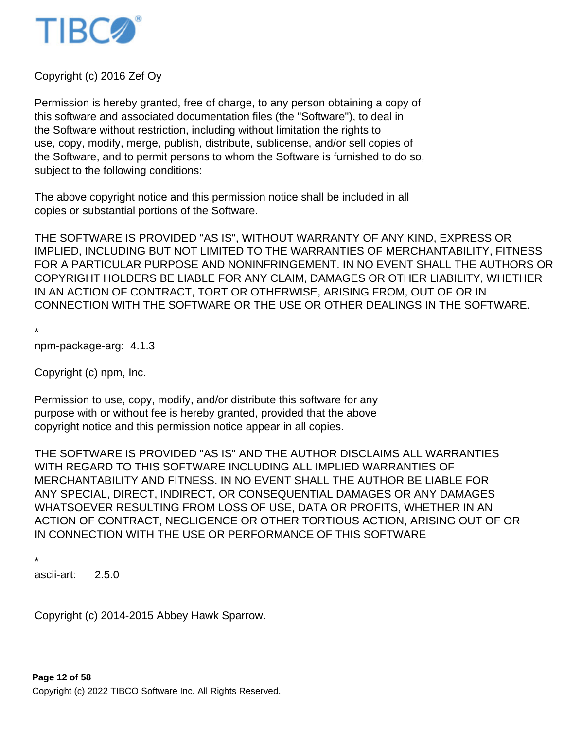

Copyright (c) 2016 Zef Oy

Permission is hereby granted, free of charge, to any person obtaining a copy of this software and associated documentation files (the "Software"), to deal in the Software without restriction, including without limitation the rights to use, copy, modify, merge, publish, distribute, sublicense, and/or sell copies of the Software, and to permit persons to whom the Software is furnished to do so, subject to the following conditions:

The above copyright notice and this permission notice shall be included in all copies or substantial portions of the Software.

THE SOFTWARE IS PROVIDED "AS IS", WITHOUT WARRANTY OF ANY KIND, EXPRESS OR IMPLIED, INCLUDING BUT NOT LIMITED TO THE WARRANTIES OF MERCHANTABILITY, FITNESS FOR A PARTICULAR PURPOSE AND NONINFRINGEMENT. IN NO EVENT SHALL THE AUTHORS OR COPYRIGHT HOLDERS BE LIABLE FOR ANY CLAIM, DAMAGES OR OTHER LIABILITY, WHETHER IN AN ACTION OF CONTRACT, TORT OR OTHERWISE, ARISING FROM, OUT OF OR IN CONNECTION WITH THE SOFTWARE OR THE USE OR OTHER DEALINGS IN THE SOFTWARE.

\*

npm-package-arg: 4.1.3

Copyright (c) npm, Inc.

Permission to use, copy, modify, and/or distribute this software for any purpose with or without fee is hereby granted, provided that the above copyright notice and this permission notice appear in all copies.

THE SOFTWARE IS PROVIDED "AS IS" AND THE AUTHOR DISCLAIMS ALL WARRANTIES WITH REGARD TO THIS SOFTWARE INCLUDING ALL IMPLIED WARRANTIES OF MERCHANTABILITY AND FITNESS. IN NO EVENT SHALL THE AUTHOR BE LIABLE FOR ANY SPECIAL, DIRECT, INDIRECT, OR CONSEQUENTIAL DAMAGES OR ANY DAMAGES WHATSOEVER RESULTING FROM LOSS OF USE, DATA OR PROFITS, WHETHER IN AN ACTION OF CONTRACT, NEGLIGENCE OR OTHER TORTIOUS ACTION, ARISING OUT OF OR IN CONNECTION WITH THE USE OR PERFORMANCE OF THIS SOFTWARE

\*

ascii-art: 2.5.0

Copyright (c) 2014-2015 Abbey Hawk Sparrow.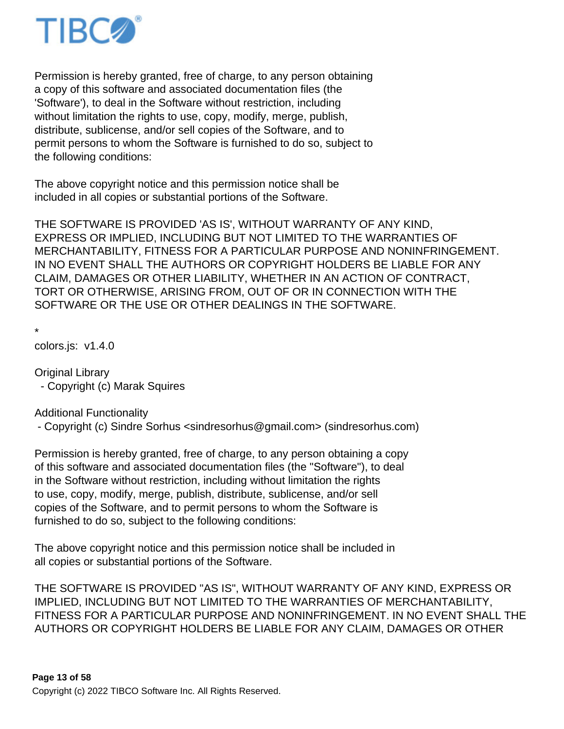

Permission is hereby granted, free of charge, to any person obtaining a copy of this software and associated documentation files (the 'Software'), to deal in the Software without restriction, including without limitation the rights to use, copy, modify, merge, publish, distribute, sublicense, and/or sell copies of the Software, and to permit persons to whom the Software is furnished to do so, subject to the following conditions:

The above copyright notice and this permission notice shall be included in all copies or substantial portions of the Software.

THE SOFTWARE IS PROVIDED 'AS IS', WITHOUT WARRANTY OF ANY KIND, EXPRESS OR IMPLIED, INCLUDING BUT NOT LIMITED TO THE WARRANTIES OF MERCHANTABILITY, FITNESS FOR A PARTICULAR PURPOSE AND NONINFRINGEMENT. IN NO EVENT SHALL THE AUTHORS OR COPYRIGHT HOLDERS BE LIABLE FOR ANY CLAIM, DAMAGES OR OTHER LIABILITY, WHETHER IN AN ACTION OF CONTRACT, TORT OR OTHERWISE, ARISING FROM, OUT OF OR IN CONNECTION WITH THE SOFTWARE OR THE USE OR OTHER DEALINGS IN THE SOFTWARE.

\*

colors.js: v1.4.0

Original Library - Copyright (c) Marak Squires

Additional Functionality

- Copyright (c) Sindre Sorhus <sindresorhus@gmail.com> (sindresorhus.com)

Permission is hereby granted, free of charge, to any person obtaining a copy of this software and associated documentation files (the "Software"), to deal in the Software without restriction, including without limitation the rights to use, copy, modify, merge, publish, distribute, sublicense, and/or sell copies of the Software, and to permit persons to whom the Software is furnished to do so, subject to the following conditions:

The above copyright notice and this permission notice shall be included in all copies or substantial portions of the Software.

THE SOFTWARE IS PROVIDED "AS IS", WITHOUT WARRANTY OF ANY KIND, EXPRESS OR IMPLIED, INCLUDING BUT NOT LIMITED TO THE WARRANTIES OF MERCHANTABILITY, FITNESS FOR A PARTICULAR PURPOSE AND NONINFRINGEMENT. IN NO EVENT SHALL THE AUTHORS OR COPYRIGHT HOLDERS BE LIABLE FOR ANY CLAIM, DAMAGES OR OTHER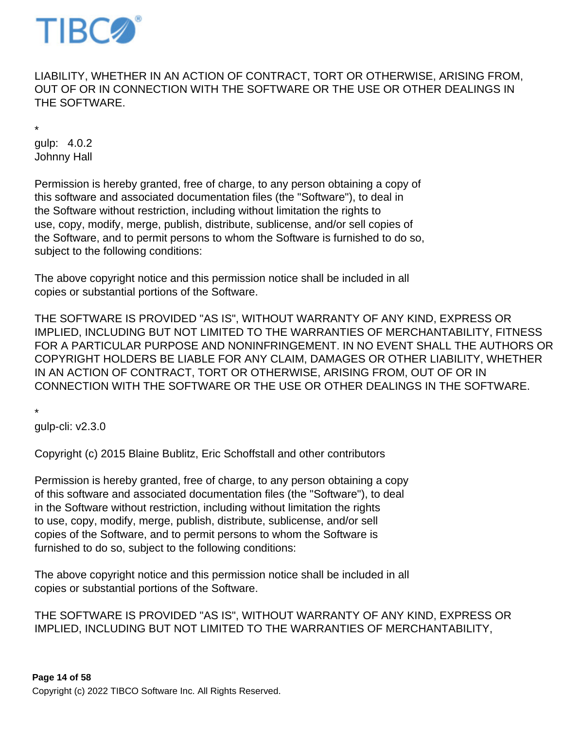

LIABILITY, WHETHER IN AN ACTION OF CONTRACT, TORT OR OTHERWISE, ARISING FROM, OUT OF OR IN CONNECTION WITH THE SOFTWARE OR THE USE OR OTHER DEALINGS IN THE SOFTWARE.

\* gulp: 4.0.2 Johnny Hall

Permission is hereby granted, free of charge, to any person obtaining a copy of this software and associated documentation files (the "Software"), to deal in the Software without restriction, including without limitation the rights to use, copy, modify, merge, publish, distribute, sublicense, and/or sell copies of the Software, and to permit persons to whom the Software is furnished to do so, subject to the following conditions:

The above copyright notice and this permission notice shall be included in all copies or substantial portions of the Software.

THE SOFTWARE IS PROVIDED "AS IS", WITHOUT WARRANTY OF ANY KIND, EXPRESS OR IMPLIED, INCLUDING BUT NOT LIMITED TO THE WARRANTIES OF MERCHANTABILITY, FITNESS FOR A PARTICULAR PURPOSE AND NONINFRINGEMENT. IN NO EVENT SHALL THE AUTHORS OR COPYRIGHT HOLDERS BE LIABLE FOR ANY CLAIM, DAMAGES OR OTHER LIABILITY, WHETHER IN AN ACTION OF CONTRACT, TORT OR OTHERWISE, ARISING FROM, OUT OF OR IN CONNECTION WITH THE SOFTWARE OR THE USE OR OTHER DEALINGS IN THE SOFTWARE.

\*

gulp-cli: v2.3.0

Copyright (c) 2015 Blaine Bublitz, Eric Schoffstall and other contributors

Permission is hereby granted, free of charge, to any person obtaining a copy of this software and associated documentation files (the "Software"), to deal in the Software without restriction, including without limitation the rights to use, copy, modify, merge, publish, distribute, sublicense, and/or sell copies of the Software, and to permit persons to whom the Software is furnished to do so, subject to the following conditions:

The above copyright notice and this permission notice shall be included in all copies or substantial portions of the Software.

THE SOFTWARE IS PROVIDED "AS IS", WITHOUT WARRANTY OF ANY KIND, EXPRESS OR IMPLIED, INCLUDING BUT NOT LIMITED TO THE WARRANTIES OF MERCHANTABILITY,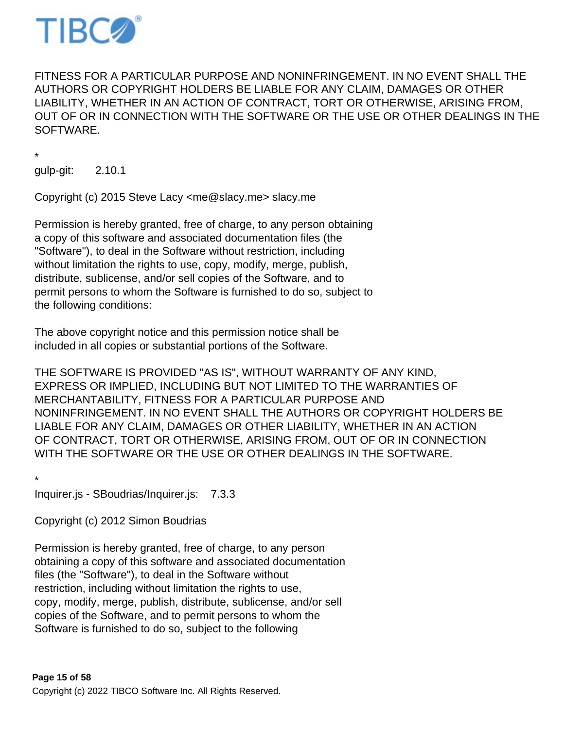

FITNESS FOR A PARTICULAR PURPOSE AND NONINFRINGEMENT. IN NO EVENT SHALL THE AUTHORS OR COPYRIGHT HOLDERS BE LIABLE FOR ANY CLAIM, DAMAGES OR OTHER LIABILITY, WHETHER IN AN ACTION OF CONTRACT, TORT OR OTHERWISE, ARISING FROM, OUT OF OR IN CONNECTION WITH THE SOFTWARE OR THE USE OR OTHER DEALINGS IN THE SOFTWARE.

\*

gulp-git: 2.10.1

Copyright (c) 2015 Steve Lacy <me@slacy.me> slacy.me

Permission is hereby granted, free of charge, to any person obtaining a copy of this software and associated documentation files (the "Software"), to deal in the Software without restriction, including without limitation the rights to use, copy, modify, merge, publish, distribute, sublicense, and/or sell copies of the Software, and to permit persons to whom the Software is furnished to do so, subject to the following conditions:

The above copyright notice and this permission notice shall be included in all copies or substantial portions of the Software.

THE SOFTWARE IS PROVIDED "AS IS", WITHOUT WARRANTY OF ANY KIND, EXPRESS OR IMPLIED, INCLUDING BUT NOT LIMITED TO THE WARRANTIES OF MERCHANTABILITY, FITNESS FOR A PARTICULAR PURPOSE AND NONINFRINGEMENT. IN NO EVENT SHALL THE AUTHORS OR COPYRIGHT HOLDERS BE LIABLE FOR ANY CLAIM, DAMAGES OR OTHER LIABILITY, WHETHER IN AN ACTION OF CONTRACT, TORT OR OTHERWISE, ARISING FROM, OUT OF OR IN CONNECTION WITH THE SOFTWARE OR THE USE OR OTHER DEALINGS IN THE SOFTWARE.

\* Inquirer.js - SBoudrias/Inquirer.js: 7.3.3

Copyright (c) 2012 Simon Boudrias

Permission is hereby granted, free of charge, to any person obtaining a copy of this software and associated documentation files (the "Software"), to deal in the Software without restriction, including without limitation the rights to use, copy, modify, merge, publish, distribute, sublicense, and/or sell copies of the Software, and to permit persons to whom the Software is furnished to do so, subject to the following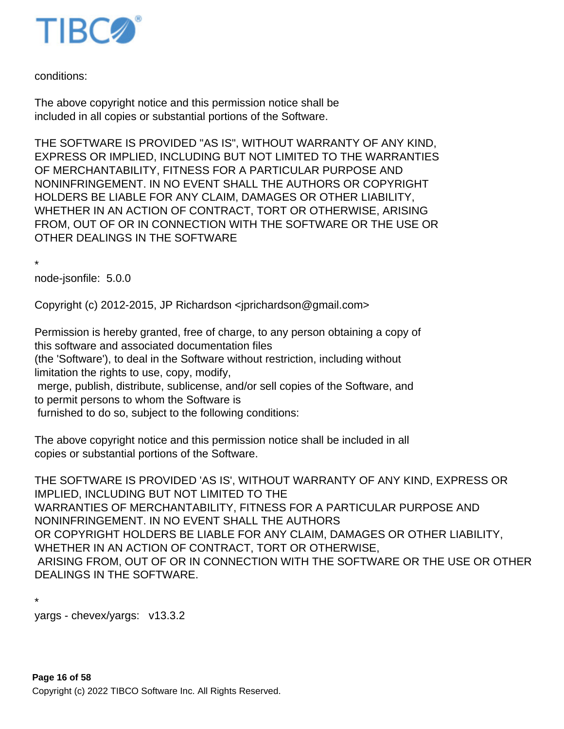

conditions:

The above copyright notice and this permission notice shall be included in all copies or substantial portions of the Software.

THE SOFTWARE IS PROVIDED "AS IS", WITHOUT WARRANTY OF ANY KIND, EXPRESS OR IMPLIED, INCLUDING BUT NOT LIMITED TO THE WARRANTIES OF MERCHANTABILITY, FITNESS FOR A PARTICULAR PURPOSE AND NONINFRINGEMENT. IN NO EVENT SHALL THE AUTHORS OR COPYRIGHT HOLDERS BE LIABLE FOR ANY CLAIM, DAMAGES OR OTHER LIABILITY, WHETHER IN AN ACTION OF CONTRACT, TORT OR OTHERWISE, ARISING FROM, OUT OF OR IN CONNECTION WITH THE SOFTWARE OR THE USE OR OTHER DEALINGS IN THE SOFTWARE

\*

node-jsonfile: 5.0.0

Copyright (c) 2012-2015, JP Richardson <jprichardson@gmail.com>

Permission is hereby granted, free of charge, to any person obtaining a copy of this software and associated documentation files

(the 'Software'), to deal in the Software without restriction, including without limitation the rights to use, copy, modify,

 merge, publish, distribute, sublicense, and/or sell copies of the Software, and to permit persons to whom the Software is

furnished to do so, subject to the following conditions:

The above copyright notice and this permission notice shall be included in all copies or substantial portions of the Software.

THE SOFTWARE IS PROVIDED 'AS IS', WITHOUT WARRANTY OF ANY KIND, EXPRESS OR IMPLIED, INCLUDING BUT NOT LIMITED TO THE WARRANTIES OF MERCHANTABILITY, FITNESS FOR A PARTICULAR PURPOSE AND NONINFRINGEMENT. IN NO EVENT SHALL THE AUTHORS OR COPYRIGHT HOLDERS BE LIABLE FOR ANY CLAIM, DAMAGES OR OTHER LIABILITY, WHETHER IN AN ACTION OF CONTRACT, TORT OR OTHERWISE, ARISING FROM, OUT OF OR IN CONNECTION WITH THE SOFTWARE OR THE USE OR OTHER DEALINGS IN THE SOFTWARE.

\* yargs - chevex/yargs: v13.3.2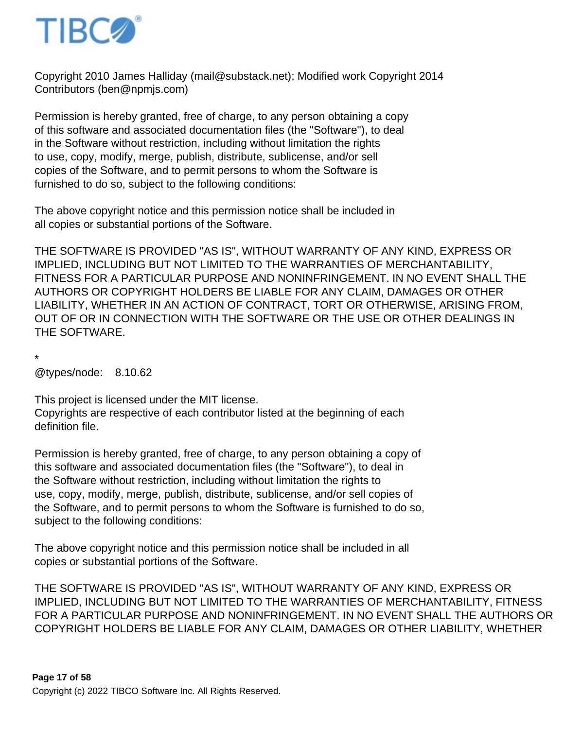

Copyright 2010 James Halliday (mail@substack.net); Modified work Copyright 2014 Contributors (ben@npmjs.com)

Permission is hereby granted, free of charge, to any person obtaining a copy of this software and associated documentation files (the "Software"), to deal in the Software without restriction, including without limitation the rights to use, copy, modify, merge, publish, distribute, sublicense, and/or sell copies of the Software, and to permit persons to whom the Software is furnished to do so, subject to the following conditions:

The above copyright notice and this permission notice shall be included in all copies or substantial portions of the Software.

THE SOFTWARE IS PROVIDED "AS IS", WITHOUT WARRANTY OF ANY KIND, EXPRESS OR IMPLIED, INCLUDING BUT NOT LIMITED TO THE WARRANTIES OF MERCHANTABILITY, FITNESS FOR A PARTICULAR PURPOSE AND NONINFRINGEMENT. IN NO EVENT SHALL THE AUTHORS OR COPYRIGHT HOLDERS BE LIABLE FOR ANY CLAIM, DAMAGES OR OTHER LIABILITY, WHETHER IN AN ACTION OF CONTRACT, TORT OR OTHERWISE, ARISING FROM, OUT OF OR IN CONNECTION WITH THE SOFTWARE OR THE USE OR OTHER DEALINGS IN THE SOFTWARE.

\*

@types/node: 8.10.62

This project is licensed under the MIT license. Copyrights are respective of each contributor listed at the beginning of each definition file.

Permission is hereby granted, free of charge, to any person obtaining a copy of this software and associated documentation files (the "Software"), to deal in the Software without restriction, including without limitation the rights to use, copy, modify, merge, publish, distribute, sublicense, and/or sell copies of the Software, and to permit persons to whom the Software is furnished to do so, subject to the following conditions:

The above copyright notice and this permission notice shall be included in all copies or substantial portions of the Software.

THE SOFTWARE IS PROVIDED "AS IS", WITHOUT WARRANTY OF ANY KIND, EXPRESS OR IMPLIED, INCLUDING BUT NOT LIMITED TO THE WARRANTIES OF MERCHANTABILITY, FITNESS FOR A PARTICULAR PURPOSE AND NONINFRINGEMENT. IN NO EVENT SHALL THE AUTHORS OR COPYRIGHT HOLDERS BE LIABLE FOR ANY CLAIM, DAMAGES OR OTHER LIABILITY, WHETHER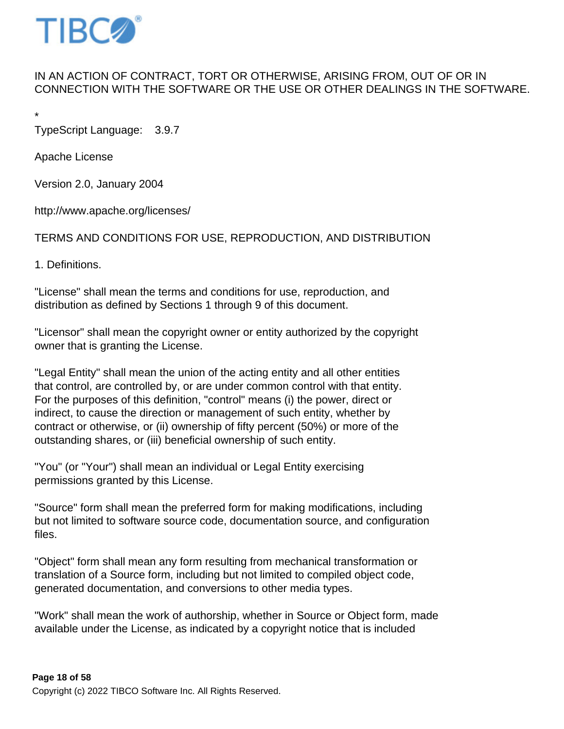

## IN AN ACTION OF CONTRACT, TORT OR OTHERWISE, ARISING FROM, OUT OF OR IN CONNECTION WITH THE SOFTWARE OR THE USE OR OTHER DEALINGS IN THE SOFTWARE.

\*

TypeScript Language: 3.9.7

Apache License

Version 2.0, January 2004

http://www.apache.org/licenses/

TERMS AND CONDITIONS FOR USE, REPRODUCTION, AND DISTRIBUTION

1. Definitions.

"License" shall mean the terms and conditions for use, reproduction, and distribution as defined by Sections 1 through 9 of this document.

"Licensor" shall mean the copyright owner or entity authorized by the copyright owner that is granting the License.

"Legal Entity" shall mean the union of the acting entity and all other entities that control, are controlled by, or are under common control with that entity. For the purposes of this definition, "control" means (i) the power, direct or indirect, to cause the direction or management of such entity, whether by contract or otherwise, or (ii) ownership of fifty percent (50%) or more of the outstanding shares, or (iii) beneficial ownership of such entity.

"You" (or "Your") shall mean an individual or Legal Entity exercising permissions granted by this License.

"Source" form shall mean the preferred form for making modifications, including but not limited to software source code, documentation source, and configuration files.

"Object" form shall mean any form resulting from mechanical transformation or translation of a Source form, including but not limited to compiled object code, generated documentation, and conversions to other media types.

"Work" shall mean the work of authorship, whether in Source or Object form, made available under the License, as indicated by a copyright notice that is included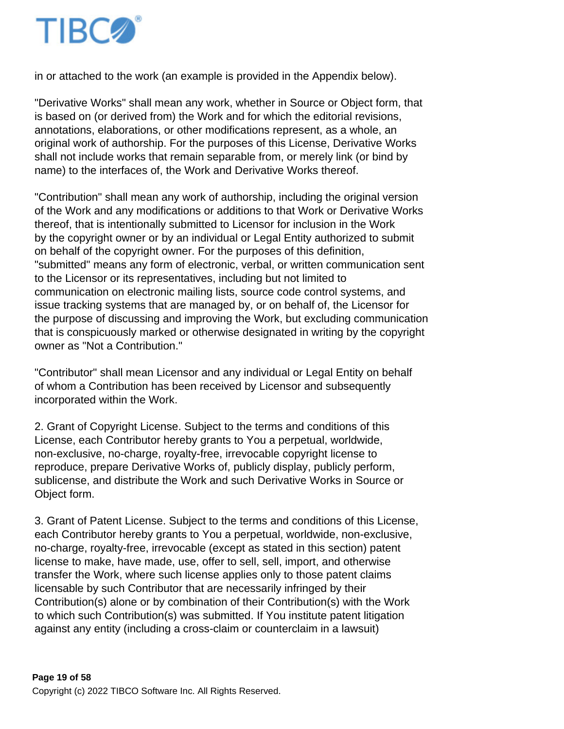

in or attached to the work (an example is provided in the Appendix below).

"Derivative Works" shall mean any work, whether in Source or Object form, that is based on (or derived from) the Work and for which the editorial revisions, annotations, elaborations, or other modifications represent, as a whole, an original work of authorship. For the purposes of this License, Derivative Works shall not include works that remain separable from, or merely link (or bind by name) to the interfaces of, the Work and Derivative Works thereof.

"Contribution" shall mean any work of authorship, including the original version of the Work and any modifications or additions to that Work or Derivative Works thereof, that is intentionally submitted to Licensor for inclusion in the Work by the copyright owner or by an individual or Legal Entity authorized to submit on behalf of the copyright owner. For the purposes of this definition, "submitted" means any form of electronic, verbal, or written communication sent to the Licensor or its representatives, including but not limited to communication on electronic mailing lists, source code control systems, and issue tracking systems that are managed by, or on behalf of, the Licensor for the purpose of discussing and improving the Work, but excluding communication that is conspicuously marked or otherwise designated in writing by the copyright owner as "Not a Contribution."

"Contributor" shall mean Licensor and any individual or Legal Entity on behalf of whom a Contribution has been received by Licensor and subsequently incorporated within the Work.

2. Grant of Copyright License. Subject to the terms and conditions of this License, each Contributor hereby grants to You a perpetual, worldwide, non-exclusive, no-charge, royalty-free, irrevocable copyright license to reproduce, prepare Derivative Works of, publicly display, publicly perform, sublicense, and distribute the Work and such Derivative Works in Source or Object form.

3. Grant of Patent License. Subject to the terms and conditions of this License, each Contributor hereby grants to You a perpetual, worldwide, non-exclusive, no-charge, royalty-free, irrevocable (except as stated in this section) patent license to make, have made, use, offer to sell, sell, import, and otherwise transfer the Work, where such license applies only to those patent claims licensable by such Contributor that are necessarily infringed by their Contribution(s) alone or by combination of their Contribution(s) with the Work to which such Contribution(s) was submitted. If You institute patent litigation against any entity (including a cross-claim or counterclaim in a lawsuit)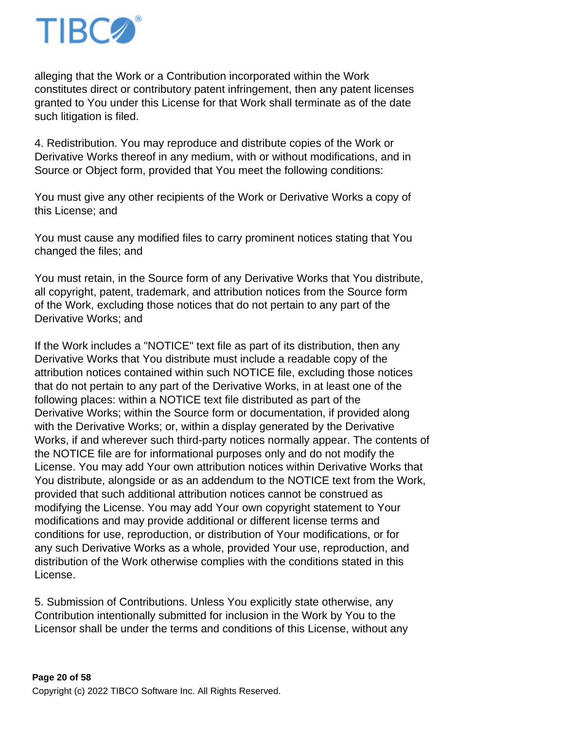

alleging that the Work or a Contribution incorporated within the Work constitutes direct or contributory patent infringement, then any patent licenses granted to You under this License for that Work shall terminate as of the date such litigation is filed.

4. Redistribution. You may reproduce and distribute copies of the Work or Derivative Works thereof in any medium, with or without modifications, and in Source or Object form, provided that You meet the following conditions:

You must give any other recipients of the Work or Derivative Works a copy of this License; and

You must cause any modified files to carry prominent notices stating that You changed the files; and

You must retain, in the Source form of any Derivative Works that You distribute, all copyright, patent, trademark, and attribution notices from the Source form of the Work, excluding those notices that do not pertain to any part of the Derivative Works; and

If the Work includes a "NOTICE" text file as part of its distribution, then any Derivative Works that You distribute must include a readable copy of the attribution notices contained within such NOTICE file, excluding those notices that do not pertain to any part of the Derivative Works, in at least one of the following places: within a NOTICE text file distributed as part of the Derivative Works; within the Source form or documentation, if provided along with the Derivative Works; or, within a display generated by the Derivative Works, if and wherever such third-party notices normally appear. The contents of the NOTICE file are for informational purposes only and do not modify the License. You may add Your own attribution notices within Derivative Works that You distribute, alongside or as an addendum to the NOTICE text from the Work, provided that such additional attribution notices cannot be construed as modifying the License. You may add Your own copyright statement to Your modifications and may provide additional or different license terms and conditions for use, reproduction, or distribution of Your modifications, or for any such Derivative Works as a whole, provided Your use, reproduction, and distribution of the Work otherwise complies with the conditions stated in this License.

5. Submission of Contributions. Unless You explicitly state otherwise, any Contribution intentionally submitted for inclusion in the Work by You to the Licensor shall be under the terms and conditions of this License, without any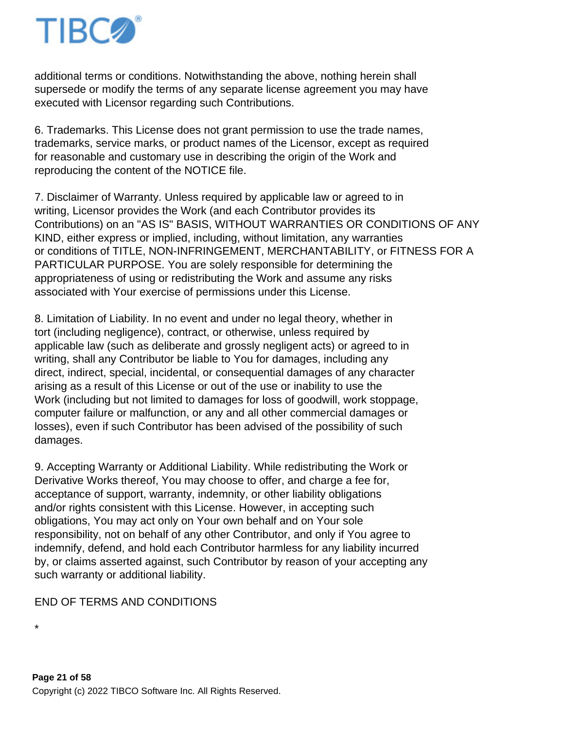

additional terms or conditions. Notwithstanding the above, nothing herein shall supersede or modify the terms of any separate license agreement you may have executed with Licensor regarding such Contributions.

6. Trademarks. This License does not grant permission to use the trade names, trademarks, service marks, or product names of the Licensor, except as required for reasonable and customary use in describing the origin of the Work and reproducing the content of the NOTICE file.

7. Disclaimer of Warranty. Unless required by applicable law or agreed to in writing, Licensor provides the Work (and each Contributor provides its Contributions) on an "AS IS" BASIS, WITHOUT WARRANTIES OR CONDITIONS OF ANY KIND, either express or implied, including, without limitation, any warranties or conditions of TITLE, NON-INFRINGEMENT, MERCHANTABILITY, or FITNESS FOR A PARTICULAR PURPOSE. You are solely responsible for determining the appropriateness of using or redistributing the Work and assume any risks associated with Your exercise of permissions under this License.

8. Limitation of Liability. In no event and under no legal theory, whether in tort (including negligence), contract, or otherwise, unless required by applicable law (such as deliberate and grossly negligent acts) or agreed to in writing, shall any Contributor be liable to You for damages, including any direct, indirect, special, incidental, or consequential damages of any character arising as a result of this License or out of the use or inability to use the Work (including but not limited to damages for loss of goodwill, work stoppage, computer failure or malfunction, or any and all other commercial damages or losses), even if such Contributor has been advised of the possibility of such damages.

9. Accepting Warranty or Additional Liability. While redistributing the Work or Derivative Works thereof, You may choose to offer, and charge a fee for, acceptance of support, warranty, indemnity, or other liability obligations and/or rights consistent with this License. However, in accepting such obligations, You may act only on Your own behalf and on Your sole responsibility, not on behalf of any other Contributor, and only if You agree to indemnify, defend, and hold each Contributor harmless for any liability incurred by, or claims asserted against, such Contributor by reason of your accepting any such warranty or additional liability.

#### END OF TERMS AND CONDITIONS

\*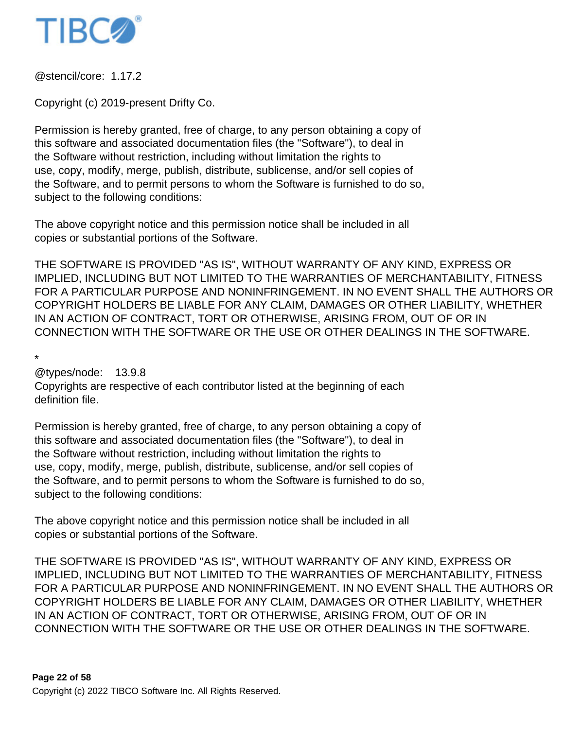

@stencil/core: 1.17.2

Copyright (c) 2019-present Drifty Co.

Permission is hereby granted, free of charge, to any person obtaining a copy of this software and associated documentation files (the "Software"), to deal in the Software without restriction, including without limitation the rights to use, copy, modify, merge, publish, distribute, sublicense, and/or sell copies of the Software, and to permit persons to whom the Software is furnished to do so, subject to the following conditions:

The above copyright notice and this permission notice shall be included in all copies or substantial portions of the Software.

THE SOFTWARE IS PROVIDED "AS IS", WITHOUT WARRANTY OF ANY KIND, EXPRESS OR IMPLIED, INCLUDING BUT NOT LIMITED TO THE WARRANTIES OF MERCHANTABILITY, FITNESS FOR A PARTICULAR PURPOSE AND NONINFRINGEMENT. IN NO EVENT SHALL THE AUTHORS OR COPYRIGHT HOLDERS BE LIABLE FOR ANY CLAIM, DAMAGES OR OTHER LIABILITY, WHETHER IN AN ACTION OF CONTRACT, TORT OR OTHERWISE, ARISING FROM, OUT OF OR IN CONNECTION WITH THE SOFTWARE OR THE USE OR OTHER DEALINGS IN THE SOFTWARE.

\*

@types/node: 13.9.8

Copyrights are respective of each contributor listed at the beginning of each definition file.

Permission is hereby granted, free of charge, to any person obtaining a copy of this software and associated documentation files (the "Software"), to deal in the Software without restriction, including without limitation the rights to use, copy, modify, merge, publish, distribute, sublicense, and/or sell copies of the Software, and to permit persons to whom the Software is furnished to do so, subject to the following conditions:

The above copyright notice and this permission notice shall be included in all copies or substantial portions of the Software.

THE SOFTWARE IS PROVIDED "AS IS", WITHOUT WARRANTY OF ANY KIND, EXPRESS OR IMPLIED, INCLUDING BUT NOT LIMITED TO THE WARRANTIES OF MERCHANTABILITY, FITNESS FOR A PARTICULAR PURPOSE AND NONINFRINGEMENT. IN NO EVENT SHALL THE AUTHORS OR COPYRIGHT HOLDERS BE LIABLE FOR ANY CLAIM, DAMAGES OR OTHER LIABILITY, WHETHER IN AN ACTION OF CONTRACT, TORT OR OTHERWISE, ARISING FROM, OUT OF OR IN CONNECTION WITH THE SOFTWARE OR THE USE OR OTHER DEALINGS IN THE SOFTWARE.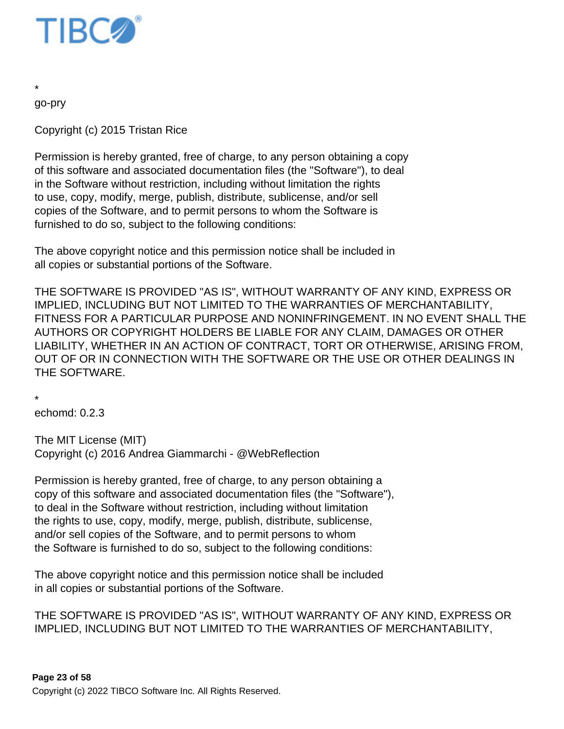

go-pry

\*

Copyright (c) 2015 Tristan Rice

Permission is hereby granted, free of charge, to any person obtaining a copy of this software and associated documentation files (the "Software"), to deal in the Software without restriction, including without limitation the rights to use, copy, modify, merge, publish, distribute, sublicense, and/or sell copies of the Software, and to permit persons to whom the Software is furnished to do so, subject to the following conditions:

The above copyright notice and this permission notice shall be included in all copies or substantial portions of the Software.

THE SOFTWARE IS PROVIDED "AS IS", WITHOUT WARRANTY OF ANY KIND, EXPRESS OR IMPLIED, INCLUDING BUT NOT LIMITED TO THE WARRANTIES OF MERCHANTABILITY, FITNESS FOR A PARTICULAR PURPOSE AND NONINFRINGEMENT. IN NO EVENT SHALL THE AUTHORS OR COPYRIGHT HOLDERS BE LIABLE FOR ANY CLAIM, DAMAGES OR OTHER LIABILITY, WHETHER IN AN ACTION OF CONTRACT, TORT OR OTHERWISE, ARISING FROM, OUT OF OR IN CONNECTION WITH THE SOFTWARE OR THE USE OR OTHER DEALINGS IN THE SOFTWARE.

\*

echomd: 0.2.3

The MIT License (MIT) Copyright (c) 2016 Andrea Giammarchi - @WebReflection

Permission is hereby granted, free of charge, to any person obtaining a copy of this software and associated documentation files (the "Software"), to deal in the Software without restriction, including without limitation the rights to use, copy, modify, merge, publish, distribute, sublicense, and/or sell copies of the Software, and to permit persons to whom the Software is furnished to do so, subject to the following conditions:

The above copyright notice and this permission notice shall be included in all copies or substantial portions of the Software.

THE SOFTWARE IS PROVIDED "AS IS", WITHOUT WARRANTY OF ANY KIND, EXPRESS OR IMPLIED, INCLUDING BUT NOT LIMITED TO THE WARRANTIES OF MERCHANTABILITY,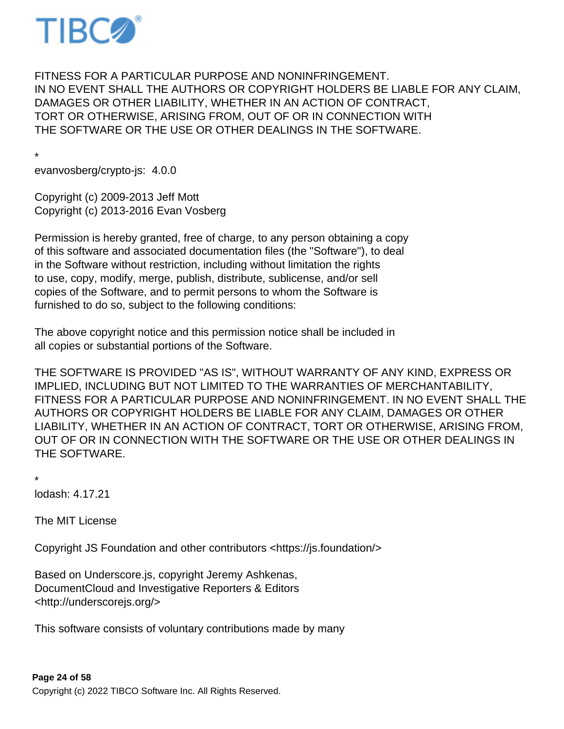

FITNESS FOR A PARTICULAR PURPOSE AND NONINFRINGEMENT. IN NO EVENT SHALL THE AUTHORS OR COPYRIGHT HOLDERS BE LIABLE FOR ANY CLAIM, DAMAGES OR OTHER LIABILITY, WHETHER IN AN ACTION OF CONTRACT, TORT OR OTHERWISE, ARISING FROM, OUT OF OR IN CONNECTION WITH THE SOFTWARE OR THE USE OR OTHER DEALINGS IN THE SOFTWARE.

\* evanvosberg/crypto-js: 4.0.0

Copyright (c) 2009-2013 Jeff Mott Copyright (c) 2013-2016 Evan Vosberg

Permission is hereby granted, free of charge, to any person obtaining a copy of this software and associated documentation files (the "Software"), to deal in the Software without restriction, including without limitation the rights to use, copy, modify, merge, publish, distribute, sublicense, and/or sell copies of the Software, and to permit persons to whom the Software is furnished to do so, subject to the following conditions:

The above copyright notice and this permission notice shall be included in all copies or substantial portions of the Software.

THE SOFTWARE IS PROVIDED "AS IS", WITHOUT WARRANTY OF ANY KIND, EXPRESS OR IMPLIED, INCLUDING BUT NOT LIMITED TO THE WARRANTIES OF MERCHANTABILITY, FITNESS FOR A PARTICULAR PURPOSE AND NONINFRINGEMENT. IN NO EVENT SHALL THE AUTHORS OR COPYRIGHT HOLDERS BE LIABLE FOR ANY CLAIM, DAMAGES OR OTHER LIABILITY, WHETHER IN AN ACTION OF CONTRACT, TORT OR OTHERWISE, ARISING FROM, OUT OF OR IN CONNECTION WITH THE SOFTWARE OR THE USE OR OTHER DEALINGS IN THE SOFTWARE.

\*

lodash: 4.17.21

The MIT License

Copyright JS Foundation and other contributors <https://js.foundation/>

Based on Underscore.js, copyright Jeremy Ashkenas, DocumentCloud and Investigative Reporters & Editors <http://underscorejs.org/>

This software consists of voluntary contributions made by many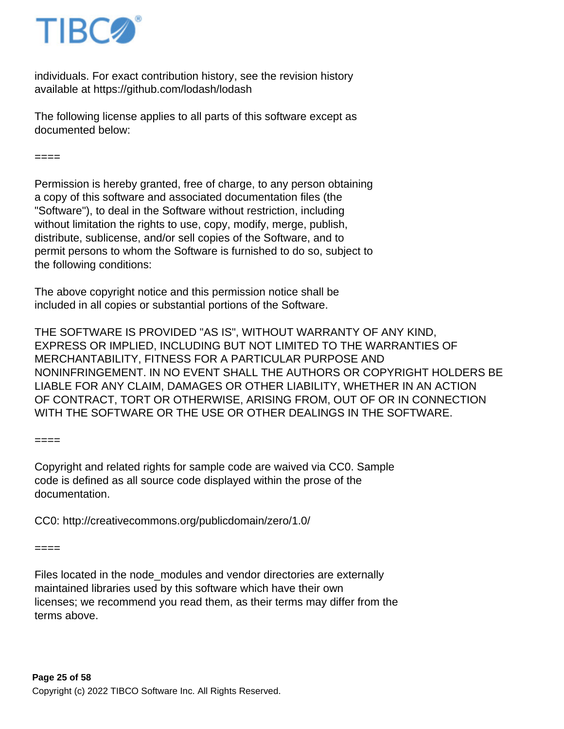

individuals. For exact contribution history, see the revision history available at https://github.com/lodash/lodash

The following license applies to all parts of this software except as documented below:

 $---$ 

Permission is hereby granted, free of charge, to any person obtaining a copy of this software and associated documentation files (the "Software"), to deal in the Software without restriction, including without limitation the rights to use, copy, modify, merge, publish, distribute, sublicense, and/or sell copies of the Software, and to permit persons to whom the Software is furnished to do so, subject to the following conditions:

The above copyright notice and this permission notice shall be included in all copies or substantial portions of the Software.

THE SOFTWARE IS PROVIDED "AS IS", WITHOUT WARRANTY OF ANY KIND, EXPRESS OR IMPLIED, INCLUDING BUT NOT LIMITED TO THE WARRANTIES OF MERCHANTABILITY, FITNESS FOR A PARTICULAR PURPOSE AND NONINFRINGEMENT. IN NO EVENT SHALL THE AUTHORS OR COPYRIGHT HOLDERS BE LIABLE FOR ANY CLAIM, DAMAGES OR OTHER LIABILITY, WHETHER IN AN ACTION OF CONTRACT, TORT OR OTHERWISE, ARISING FROM, OUT OF OR IN CONNECTION WITH THE SOFTWARE OR THE USE OR OTHER DEALINGS IN THE SOFTWARE.

 $----$ 

Copyright and related rights for sample code are waived via CC0. Sample code is defined as all source code displayed within the prose of the documentation.

CC0: http://creativecommons.org/publicdomain/zero/1.0/

====

Files located in the node\_modules and vendor directories are externally maintained libraries used by this software which have their own licenses; we recommend you read them, as their terms may differ from the terms above.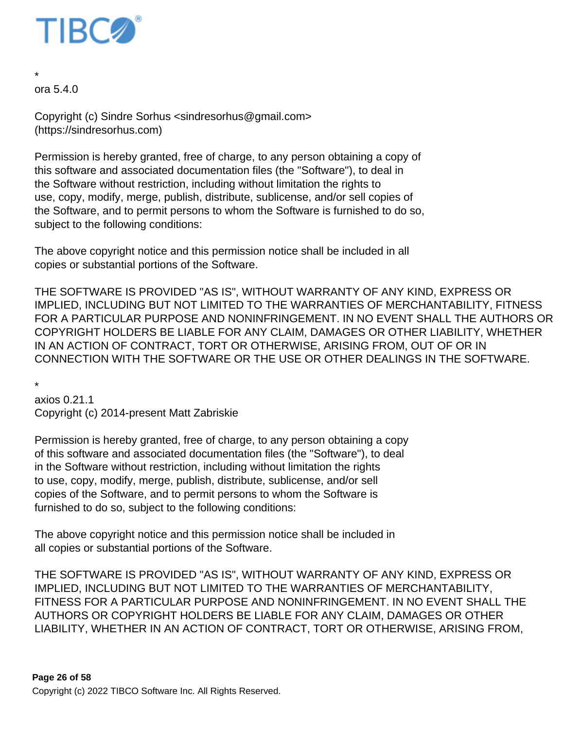

\* ora 5.4.0

Copyright (c) Sindre Sorhus <sindresorhus@gmail.com> (https://sindresorhus.com)

Permission is hereby granted, free of charge, to any person obtaining a copy of this software and associated documentation files (the "Software"), to deal in the Software without restriction, including without limitation the rights to use, copy, modify, merge, publish, distribute, sublicense, and/or sell copies of the Software, and to permit persons to whom the Software is furnished to do so, subject to the following conditions:

The above copyright notice and this permission notice shall be included in all copies or substantial portions of the Software.

THE SOFTWARE IS PROVIDED "AS IS", WITHOUT WARRANTY OF ANY KIND, EXPRESS OR IMPLIED, INCLUDING BUT NOT LIMITED TO THE WARRANTIES OF MERCHANTABILITY, FITNESS FOR A PARTICULAR PURPOSE AND NONINFRINGEMENT. IN NO EVENT SHALL THE AUTHORS OR COPYRIGHT HOLDERS BE LIABLE FOR ANY CLAIM, DAMAGES OR OTHER LIABILITY, WHETHER IN AN ACTION OF CONTRACT, TORT OR OTHERWISE, ARISING FROM, OUT OF OR IN CONNECTION WITH THE SOFTWARE OR THE USE OR OTHER DEALINGS IN THE SOFTWARE.

\*

axios 0.21.1 Copyright (c) 2014-present Matt Zabriskie

Permission is hereby granted, free of charge, to any person obtaining a copy of this software and associated documentation files (the "Software"), to deal in the Software without restriction, including without limitation the rights to use, copy, modify, merge, publish, distribute, sublicense, and/or sell copies of the Software, and to permit persons to whom the Software is furnished to do so, subject to the following conditions:

The above copyright notice and this permission notice shall be included in all copies or substantial portions of the Software.

THE SOFTWARE IS PROVIDED "AS IS", WITHOUT WARRANTY OF ANY KIND, EXPRESS OR IMPLIED, INCLUDING BUT NOT LIMITED TO THE WARRANTIES OF MERCHANTABILITY, FITNESS FOR A PARTICULAR PURPOSE AND NONINFRINGEMENT. IN NO EVENT SHALL THE AUTHORS OR COPYRIGHT HOLDERS BE LIABLE FOR ANY CLAIM, DAMAGES OR OTHER LIABILITY, WHETHER IN AN ACTION OF CONTRACT, TORT OR OTHERWISE, ARISING FROM,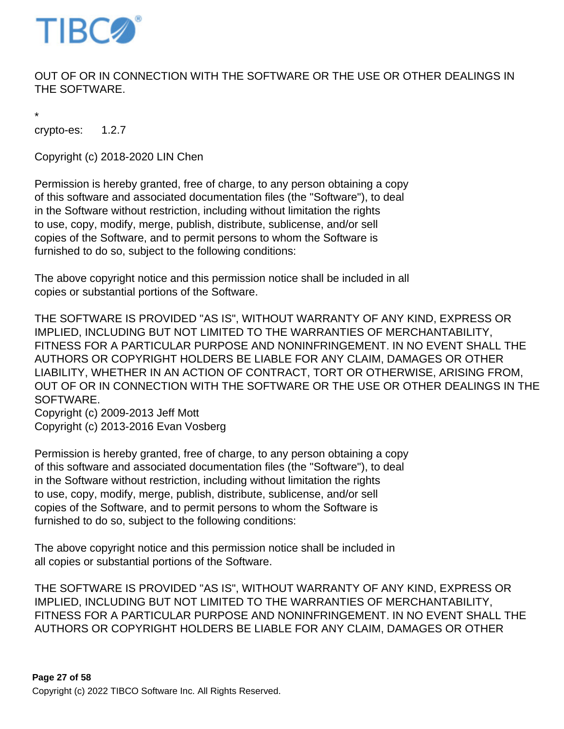

# OUT OF OR IN CONNECTION WITH THE SOFTWARE OR THE USE OR OTHER DEALINGS IN THE SOFTWARE.

\*

crypto-es: 1.2.7

Copyright (c) 2018-2020 LIN Chen

Permission is hereby granted, free of charge, to any person obtaining a copy of this software and associated documentation files (the "Software"), to deal in the Software without restriction, including without limitation the rights to use, copy, modify, merge, publish, distribute, sublicense, and/or sell copies of the Software, and to permit persons to whom the Software is furnished to do so, subject to the following conditions:

The above copyright notice and this permission notice shall be included in all copies or substantial portions of the Software.

THE SOFTWARE IS PROVIDED "AS IS", WITHOUT WARRANTY OF ANY KIND, EXPRESS OR IMPLIED, INCLUDING BUT NOT LIMITED TO THE WARRANTIES OF MERCHANTABILITY, FITNESS FOR A PARTICULAR PURPOSE AND NONINFRINGEMENT. IN NO EVENT SHALL THE AUTHORS OR COPYRIGHT HOLDERS BE LIABLE FOR ANY CLAIM, DAMAGES OR OTHER LIABILITY, WHETHER IN AN ACTION OF CONTRACT, TORT OR OTHERWISE, ARISING FROM, OUT OF OR IN CONNECTION WITH THE SOFTWARE OR THE USE OR OTHER DEALINGS IN THE SOFTWARE.

Copyright (c) 2009-2013 Jeff Mott Copyright (c) 2013-2016 Evan Vosberg

Permission is hereby granted, free of charge, to any person obtaining a copy of this software and associated documentation files (the "Software"), to deal in the Software without restriction, including without limitation the rights to use, copy, modify, merge, publish, distribute, sublicense, and/or sell copies of the Software, and to permit persons to whom the Software is furnished to do so, subject to the following conditions:

The above copyright notice and this permission notice shall be included in all copies or substantial portions of the Software.

THE SOFTWARE IS PROVIDED "AS IS", WITHOUT WARRANTY OF ANY KIND, EXPRESS OR IMPLIED, INCLUDING BUT NOT LIMITED TO THE WARRANTIES OF MERCHANTABILITY, FITNESS FOR A PARTICULAR PURPOSE AND NONINFRINGEMENT. IN NO EVENT SHALL THE AUTHORS OR COPYRIGHT HOLDERS BE LIABLE FOR ANY CLAIM, DAMAGES OR OTHER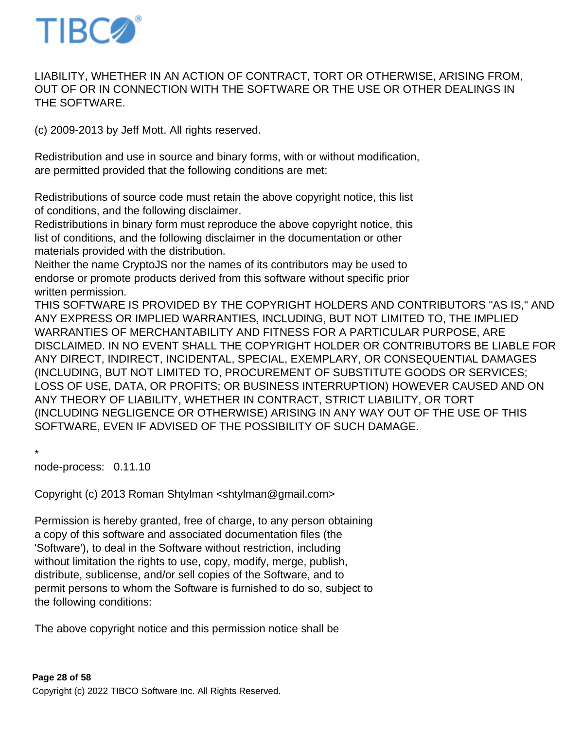

# LIABILITY, WHETHER IN AN ACTION OF CONTRACT, TORT OR OTHERWISE, ARISING FROM, OUT OF OR IN CONNECTION WITH THE SOFTWARE OR THE USE OR OTHER DEALINGS IN THE SOFTWARE.

(c) 2009-2013 by Jeff Mott. All rights reserved.

Redistribution and use in source and binary forms, with or without modification, are permitted provided that the following conditions are met:

Redistributions of source code must retain the above copyright notice, this list of conditions, and the following disclaimer.

Redistributions in binary form must reproduce the above copyright notice, this list of conditions, and the following disclaimer in the documentation or other materials provided with the distribution.

Neither the name CryptoJS nor the names of its contributors may be used to endorse or promote products derived from this software without specific prior written permission.

THIS SOFTWARE IS PROVIDED BY THE COPYRIGHT HOLDERS AND CONTRIBUTORS "AS IS," AND ANY EXPRESS OR IMPLIED WARRANTIES, INCLUDING, BUT NOT LIMITED TO, THE IMPLIED WARRANTIES OF MERCHANTABILITY AND FITNESS FOR A PARTICULAR PURPOSE, ARE DISCLAIMED. IN NO EVENT SHALL THE COPYRIGHT HOLDER OR CONTRIBUTORS BE LIABLE FOR ANY DIRECT, INDIRECT, INCIDENTAL, SPECIAL, EXEMPLARY, OR CONSEQUENTIAL DAMAGES (INCLUDING, BUT NOT LIMITED TO, PROCUREMENT OF SUBSTITUTE GOODS OR SERVICES; LOSS OF USE, DATA, OR PROFITS; OR BUSINESS INTERRUPTION) HOWEVER CAUSED AND ON ANY THEORY OF LIABILITY, WHETHER IN CONTRACT, STRICT LIABILITY, OR TORT (INCLUDING NEGLIGENCE OR OTHERWISE) ARISING IN ANY WAY OUT OF THE USE OF THIS SOFTWARE, EVEN IF ADVISED OF THE POSSIBILITY OF SUCH DAMAGE.

\*

node-process: 0.11.10

Copyright (c) 2013 Roman Shtylman <shtylman@gmail.com>

Permission is hereby granted, free of charge, to any person obtaining a copy of this software and associated documentation files (the 'Software'), to deal in the Software without restriction, including without limitation the rights to use, copy, modify, merge, publish, distribute, sublicense, and/or sell copies of the Software, and to permit persons to whom the Software is furnished to do so, subject to the following conditions:

The above copyright notice and this permission notice shall be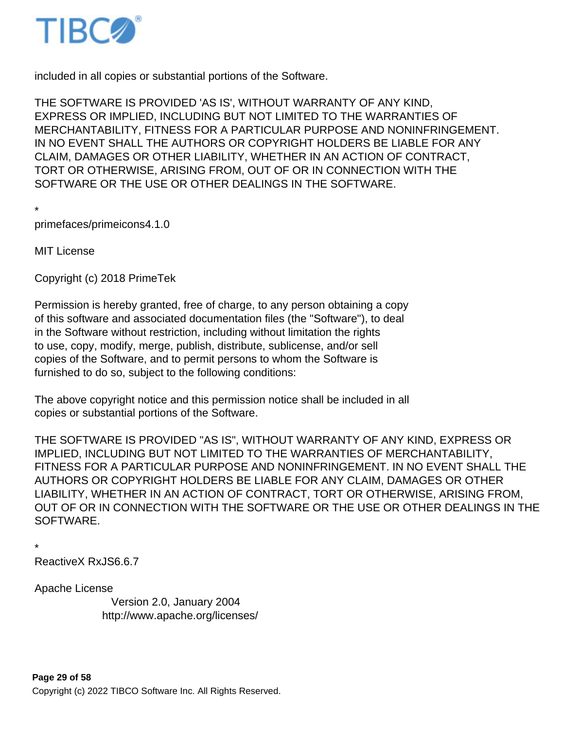

included in all copies or substantial portions of the Software.

THE SOFTWARE IS PROVIDED 'AS IS', WITHOUT WARRANTY OF ANY KIND, EXPRESS OR IMPLIED, INCLUDING BUT NOT LIMITED TO THE WARRANTIES OF MERCHANTABILITY, FITNESS FOR A PARTICULAR PURPOSE AND NONINFRINGEMENT. IN NO EVENT SHALL THE AUTHORS OR COPYRIGHT HOLDERS BE LIABLE FOR ANY CLAIM, DAMAGES OR OTHER LIABILITY, WHETHER IN AN ACTION OF CONTRACT, TORT OR OTHERWISE, ARISING FROM, OUT OF OR IN CONNECTION WITH THE SOFTWARE OR THE USE OR OTHER DEALINGS IN THE SOFTWARE.

```
*
```
primefaces/primeicons 4.1.0

MIT License

Copyright (c) 2018 PrimeTek

Permission is hereby granted, free of charge, to any person obtaining a copy of this software and associated documentation files (the "Software"), to deal in the Software without restriction, including without limitation the rights to use, copy, modify, merge, publish, distribute, sublicense, and/or sell copies of the Software, and to permit persons to whom the Software is furnished to do so, subject to the following conditions:

The above copyright notice and this permission notice shall be included in all copies or substantial portions of the Software.

THE SOFTWARE IS PROVIDED "AS IS", WITHOUT WARRANTY OF ANY KIND, EXPRESS OR IMPLIED, INCLUDING BUT NOT LIMITED TO THE WARRANTIES OF MERCHANTABILITY, FITNESS FOR A PARTICULAR PURPOSE AND NONINFRINGEMENT. IN NO EVENT SHALL THE AUTHORS OR COPYRIGHT HOLDERS BE LIABLE FOR ANY CLAIM, DAMAGES OR OTHER LIABILITY, WHETHER IN AN ACTION OF CONTRACT, TORT OR OTHERWISE, ARISING FROM, OUT OF OR IN CONNECTION WITH THE SOFTWARE OR THE USE OR OTHER DEALINGS IN THE SOFTWARE.

\*

ReactiveX RxJS 6.6.7

Apache License

 Version 2.0, January 2004 http://www.apache.org/licenses/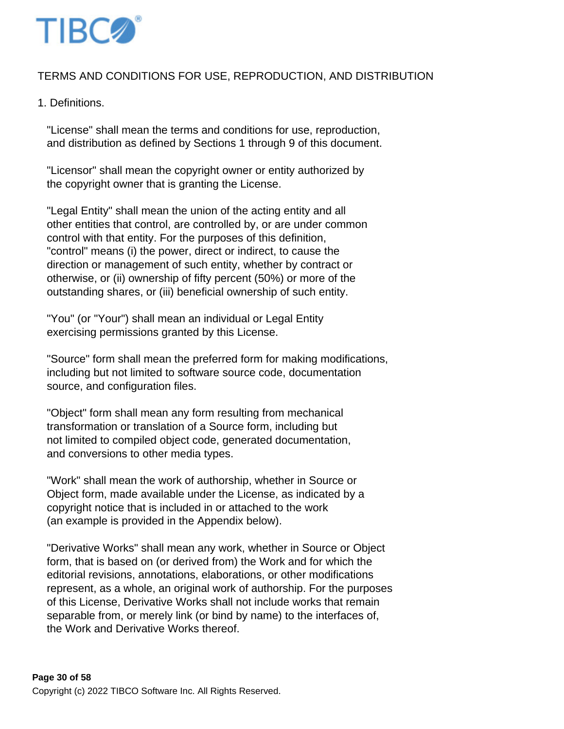

# TERMS AND CONDITIONS FOR USE, REPRODUCTION, AND DISTRIBUTION

## 1. Definitions.

 "License" shall mean the terms and conditions for use, reproduction, and distribution as defined by Sections 1 through 9 of this document.

 "Licensor" shall mean the copyright owner or entity authorized by the copyright owner that is granting the License.

 "Legal Entity" shall mean the union of the acting entity and all other entities that control, are controlled by, or are under common control with that entity. For the purposes of this definition, "control" means (i) the power, direct or indirect, to cause the direction or management of such entity, whether by contract or otherwise, or (ii) ownership of fifty percent (50%) or more of the outstanding shares, or (iii) beneficial ownership of such entity.

 "You" (or "Your") shall mean an individual or Legal Entity exercising permissions granted by this License.

 "Source" form shall mean the preferred form for making modifications, including but not limited to software source code, documentation source, and configuration files.

 "Object" form shall mean any form resulting from mechanical transformation or translation of a Source form, including but not limited to compiled object code, generated documentation, and conversions to other media types.

 "Work" shall mean the work of authorship, whether in Source or Object form, made available under the License, as indicated by a copyright notice that is included in or attached to the work (an example is provided in the Appendix below).

 "Derivative Works" shall mean any work, whether in Source or Object form, that is based on (or derived from) the Work and for which the editorial revisions, annotations, elaborations, or other modifications represent, as a whole, an original work of authorship. For the purposes of this License, Derivative Works shall not include works that remain separable from, or merely link (or bind by name) to the interfaces of, the Work and Derivative Works thereof.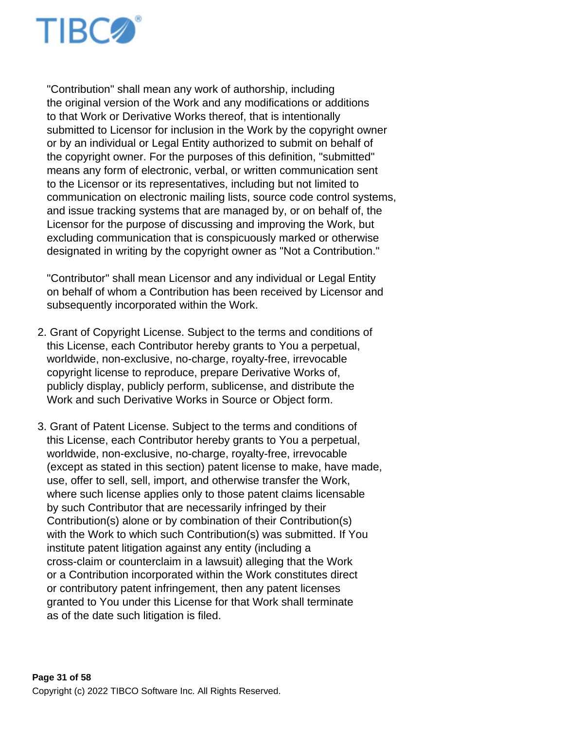

 "Contribution" shall mean any work of authorship, including the original version of the Work and any modifications or additions to that Work or Derivative Works thereof, that is intentionally submitted to Licensor for inclusion in the Work by the copyright owner or by an individual or Legal Entity authorized to submit on behalf of the copyright owner. For the purposes of this definition, "submitted" means any form of electronic, verbal, or written communication sent to the Licensor or its representatives, including but not limited to communication on electronic mailing lists, source code control systems, and issue tracking systems that are managed by, or on behalf of, the Licensor for the purpose of discussing and improving the Work, but excluding communication that is conspicuously marked or otherwise designated in writing by the copyright owner as "Not a Contribution."

 "Contributor" shall mean Licensor and any individual or Legal Entity on behalf of whom a Contribution has been received by Licensor and subsequently incorporated within the Work.

- 2. Grant of Copyright License. Subject to the terms and conditions of this License, each Contributor hereby grants to You a perpetual, worldwide, non-exclusive, no-charge, royalty-free, irrevocable copyright license to reproduce, prepare Derivative Works of, publicly display, publicly perform, sublicense, and distribute the Work and such Derivative Works in Source or Object form.
- 3. Grant of Patent License. Subject to the terms and conditions of this License, each Contributor hereby grants to You a perpetual, worldwide, non-exclusive, no-charge, royalty-free, irrevocable (except as stated in this section) patent license to make, have made, use, offer to sell, sell, import, and otherwise transfer the Work, where such license applies only to those patent claims licensable by such Contributor that are necessarily infringed by their Contribution(s) alone or by combination of their Contribution(s) with the Work to which such Contribution(s) was submitted. If You institute patent litigation against any entity (including a cross-claim or counterclaim in a lawsuit) alleging that the Work or a Contribution incorporated within the Work constitutes direct or contributory patent infringement, then any patent licenses granted to You under this License for that Work shall terminate as of the date such litigation is filed.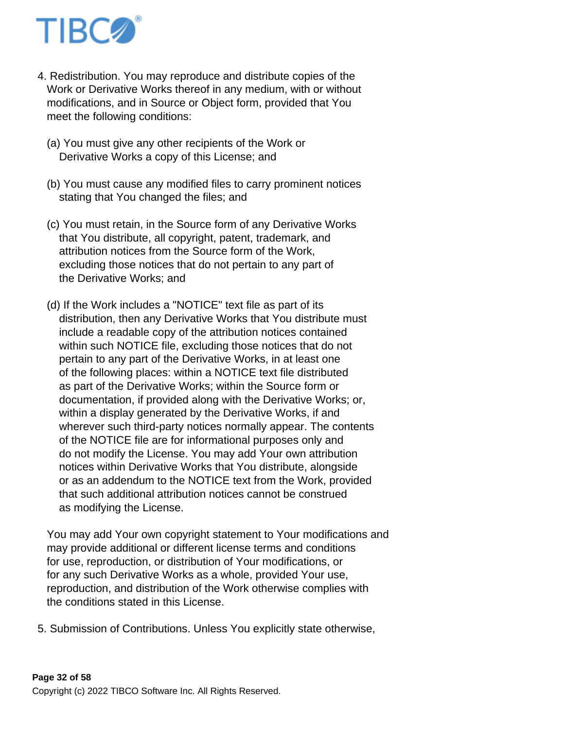

- 4. Redistribution. You may reproduce and distribute copies of the Work or Derivative Works thereof in any medium, with or without modifications, and in Source or Object form, provided that You meet the following conditions:
	- (a) You must give any other recipients of the Work or Derivative Works a copy of this License; and
	- (b) You must cause any modified files to carry prominent notices stating that You changed the files; and
	- (c) You must retain, in the Source form of any Derivative Works that You distribute, all copyright, patent, trademark, and attribution notices from the Source form of the Work, excluding those notices that do not pertain to any part of the Derivative Works; and
	- (d) If the Work includes a "NOTICE" text file as part of its distribution, then any Derivative Works that You distribute must include a readable copy of the attribution notices contained within such NOTICE file, excluding those notices that do not pertain to any part of the Derivative Works, in at least one of the following places: within a NOTICE text file distributed as part of the Derivative Works; within the Source form or documentation, if provided along with the Derivative Works; or, within a display generated by the Derivative Works, if and wherever such third-party notices normally appear. The contents of the NOTICE file are for informational purposes only and do not modify the License. You may add Your own attribution notices within Derivative Works that You distribute, alongside or as an addendum to the NOTICE text from the Work, provided that such additional attribution notices cannot be construed as modifying the License.

 You may add Your own copyright statement to Your modifications and may provide additional or different license terms and conditions for use, reproduction, or distribution of Your modifications, or for any such Derivative Works as a whole, provided Your use, reproduction, and distribution of the Work otherwise complies with the conditions stated in this License.

5. Submission of Contributions. Unless You explicitly state otherwise,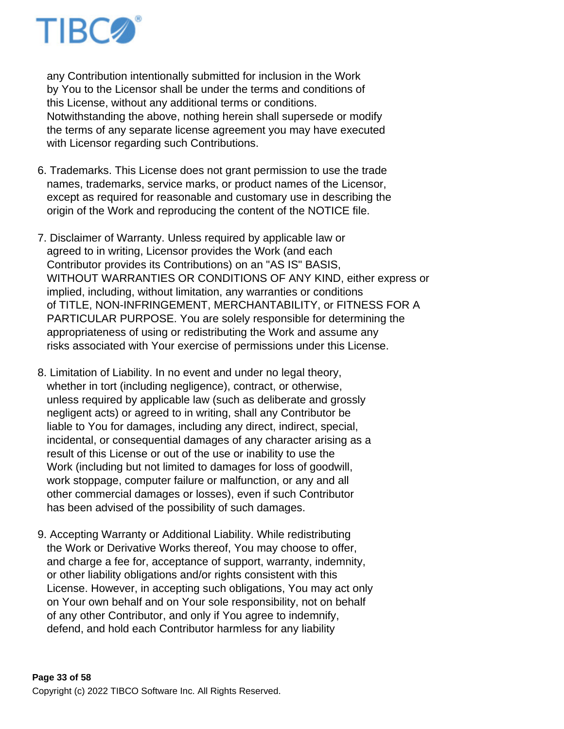

 any Contribution intentionally submitted for inclusion in the Work by You to the Licensor shall be under the terms and conditions of this License, without any additional terms or conditions. Notwithstanding the above, nothing herein shall supersede or modify the terms of any separate license agreement you may have executed with Licensor regarding such Contributions.

- 6. Trademarks. This License does not grant permission to use the trade names, trademarks, service marks, or product names of the Licensor, except as required for reasonable and customary use in describing the origin of the Work and reproducing the content of the NOTICE file.
- 7. Disclaimer of Warranty. Unless required by applicable law or agreed to in writing, Licensor provides the Work (and each Contributor provides its Contributions) on an "AS IS" BASIS, WITHOUT WARRANTIES OR CONDITIONS OF ANY KIND, either express or implied, including, without limitation, any warranties or conditions of TITLE, NON-INFRINGEMENT, MERCHANTABILITY, or FITNESS FOR A PARTICULAR PURPOSE. You are solely responsible for determining the appropriateness of using or redistributing the Work and assume any risks associated with Your exercise of permissions under this License.
- 8. Limitation of Liability. In no event and under no legal theory, whether in tort (including negligence), contract, or otherwise, unless required by applicable law (such as deliberate and grossly negligent acts) or agreed to in writing, shall any Contributor be liable to You for damages, including any direct, indirect, special, incidental, or consequential damages of any character arising as a result of this License or out of the use or inability to use the Work (including but not limited to damages for loss of goodwill, work stoppage, computer failure or malfunction, or any and all other commercial damages or losses), even if such Contributor has been advised of the possibility of such damages.
- 9. Accepting Warranty or Additional Liability. While redistributing the Work or Derivative Works thereof, You may choose to offer, and charge a fee for, acceptance of support, warranty, indemnity, or other liability obligations and/or rights consistent with this License. However, in accepting such obligations, You may act only on Your own behalf and on Your sole responsibility, not on behalf of any other Contributor, and only if You agree to indemnify, defend, and hold each Contributor harmless for any liability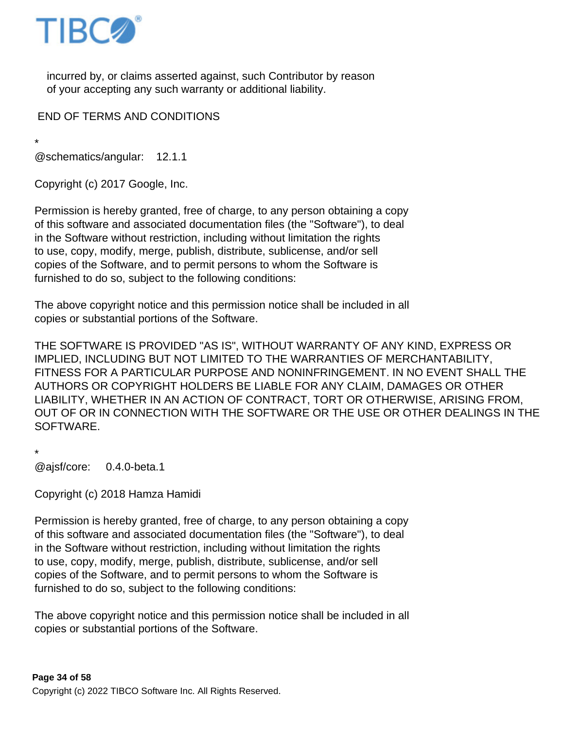

 incurred by, or claims asserted against, such Contributor by reason of your accepting any such warranty or additional liability.

END OF TERMS AND CONDITIONS

\* @schematics/angular: 12.1.1

Copyright (c) 2017 Google, Inc.

Permission is hereby granted, free of charge, to any person obtaining a copy of this software and associated documentation files (the "Software"), to deal in the Software without restriction, including without limitation the rights to use, copy, modify, merge, publish, distribute, sublicense, and/or sell copies of the Software, and to permit persons to whom the Software is furnished to do so, subject to the following conditions:

The above copyright notice and this permission notice shall be included in all copies or substantial portions of the Software.

THE SOFTWARE IS PROVIDED "AS IS", WITHOUT WARRANTY OF ANY KIND, EXPRESS OR IMPLIED, INCLUDING BUT NOT LIMITED TO THE WARRANTIES OF MERCHANTABILITY, FITNESS FOR A PARTICULAR PURPOSE AND NONINFRINGEMENT. IN NO EVENT SHALL THE AUTHORS OR COPYRIGHT HOLDERS BE LIABLE FOR ANY CLAIM, DAMAGES OR OTHER LIABILITY, WHETHER IN AN ACTION OF CONTRACT, TORT OR OTHERWISE, ARISING FROM, OUT OF OR IN CONNECTION WITH THE SOFTWARE OR THE USE OR OTHER DEALINGS IN THE SOFTWARE.

\* @ajsf/core: 0.4.0-beta.1

Copyright (c) 2018 Hamza Hamidi

Permission is hereby granted, free of charge, to any person obtaining a copy of this software and associated documentation files (the "Software"), to deal in the Software without restriction, including without limitation the rights to use, copy, modify, merge, publish, distribute, sublicense, and/or sell copies of the Software, and to permit persons to whom the Software is furnished to do so, subject to the following conditions:

The above copyright notice and this permission notice shall be included in all copies or substantial portions of the Software.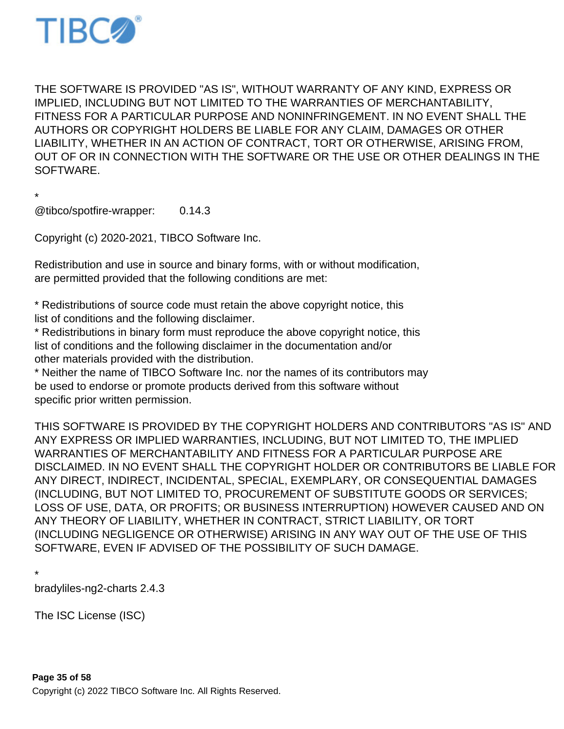

THE SOFTWARE IS PROVIDED "AS IS", WITHOUT WARRANTY OF ANY KIND, EXPRESS OR IMPLIED, INCLUDING BUT NOT LIMITED TO THE WARRANTIES OF MERCHANTABILITY, FITNESS FOR A PARTICULAR PURPOSE AND NONINFRINGEMENT. IN NO EVENT SHALL THE AUTHORS OR COPYRIGHT HOLDERS BE LIABLE FOR ANY CLAIM, DAMAGES OR OTHER LIABILITY, WHETHER IN AN ACTION OF CONTRACT, TORT OR OTHERWISE, ARISING FROM, OUT OF OR IN CONNECTION WITH THE SOFTWARE OR THE USE OR OTHER DEALINGS IN THE SOFTWARE.

\*

@tibco/spotfire-wrapper: 0.14.3

Copyright (c) 2020-2021, TIBCO Software Inc.

Redistribution and use in source and binary forms, with or without modification, are permitted provided that the following conditions are met:

\* Redistributions of source code must retain the above copyright notice, this list of conditions and the following disclaimer.

\* Redistributions in binary form must reproduce the above copyright notice, this list of conditions and the following disclaimer in the documentation and/or other materials provided with the distribution.

\* Neither the name of TIBCO Software Inc. nor the names of its contributors may be used to endorse or promote products derived from this software without specific prior written permission.

THIS SOFTWARE IS PROVIDED BY THE COPYRIGHT HOLDERS AND CONTRIBUTORS "AS IS" AND ANY EXPRESS OR IMPLIED WARRANTIES, INCLUDING, BUT NOT LIMITED TO, THE IMPLIED WARRANTIES OF MERCHANTABILITY AND FITNESS FOR A PARTICULAR PURPOSE ARE DISCLAIMED. IN NO EVENT SHALL THE COPYRIGHT HOLDER OR CONTRIBUTORS BE LIABLE FOR ANY DIRECT, INDIRECT, INCIDENTAL, SPECIAL, EXEMPLARY, OR CONSEQUENTIAL DAMAGES (INCLUDING, BUT NOT LIMITED TO, PROCUREMENT OF SUBSTITUTE GOODS OR SERVICES; LOSS OF USE, DATA, OR PROFITS; OR BUSINESS INTERRUPTION) HOWEVER CAUSED AND ON ANY THEORY OF LIABILITY, WHETHER IN CONTRACT, STRICT LIABILITY, OR TORT (INCLUDING NEGLIGENCE OR OTHERWISE) ARISING IN ANY WAY OUT OF THE USE OF THIS SOFTWARE, EVEN IF ADVISED OF THE POSSIBILITY OF SUCH DAMAGE.

\*

bradyliles-ng2-charts 2.4.3

The ISC License (ISC)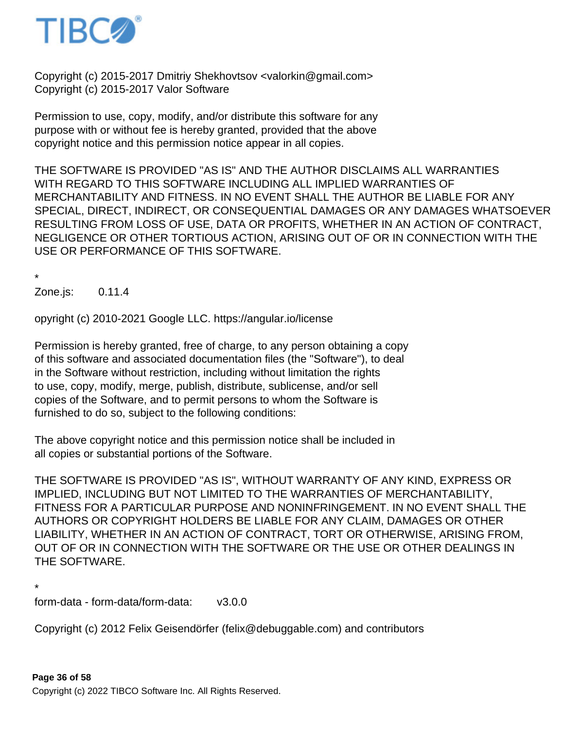

Copyright (c) 2015-2017 Dmitriy Shekhovtsov <valorkin@gmail.com> Copyright (c) 2015-2017 Valor Software

Permission to use, copy, modify, and/or distribute this software for any purpose with or without fee is hereby granted, provided that the above copyright notice and this permission notice appear in all copies.

THE SOFTWARE IS PROVIDED "AS IS" AND THE AUTHOR DISCLAIMS ALL WARRANTIES WITH REGARD TO THIS SOFTWARE INCLUDING ALL IMPLIED WARRANTIES OF MERCHANTABILITY AND FITNESS. IN NO EVENT SHALL THE AUTHOR BE LIABLE FOR ANY SPECIAL, DIRECT, INDIRECT, OR CONSEQUENTIAL DAMAGES OR ANY DAMAGES WHATSOEVER RESULTING FROM LOSS OF USE, DATA OR PROFITS, WHETHER IN AN ACTION OF CONTRACT, NEGLIGENCE OR OTHER TORTIOUS ACTION, ARISING OUT OF OR IN CONNECTION WITH THE USE OR PERFORMANCE OF THIS SOFTWARE.

\*

Zone.js: 0.11.4

opyright (c) 2010-2021 Google LLC. https://angular.io/license

Permission is hereby granted, free of charge, to any person obtaining a copy of this software and associated documentation files (the "Software"), to deal in the Software without restriction, including without limitation the rights to use, copy, modify, merge, publish, distribute, sublicense, and/or sell copies of the Software, and to permit persons to whom the Software is furnished to do so, subject to the following conditions:

The above copyright notice and this permission notice shall be included in all copies or substantial portions of the Software.

THE SOFTWARE IS PROVIDED "AS IS", WITHOUT WARRANTY OF ANY KIND, EXPRESS OR IMPLIED, INCLUDING BUT NOT LIMITED TO THE WARRANTIES OF MERCHANTABILITY, FITNESS FOR A PARTICULAR PURPOSE AND NONINFRINGEMENT. IN NO EVENT SHALL THE AUTHORS OR COPYRIGHT HOLDERS BE LIABLE FOR ANY CLAIM, DAMAGES OR OTHER LIABILITY, WHETHER IN AN ACTION OF CONTRACT, TORT OR OTHERWISE, ARISING FROM, OUT OF OR IN CONNECTION WITH THE SOFTWARE OR THE USE OR OTHER DEALINGS IN THE SOFTWARE.

\*

form-data - form-data/form-data: v3.0.0

Copyright (c) 2012 Felix Geisendörfer (felix@debuggable.com) and contributors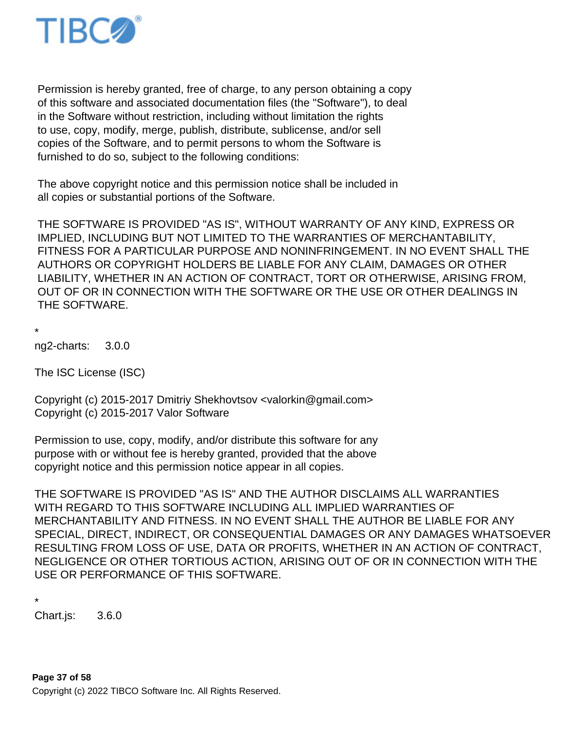

 Permission is hereby granted, free of charge, to any person obtaining a copy of this software and associated documentation files (the "Software"), to deal in the Software without restriction, including without limitation the rights to use, copy, modify, merge, publish, distribute, sublicense, and/or sell copies of the Software, and to permit persons to whom the Software is furnished to do so, subject to the following conditions:

 The above copyright notice and this permission notice shall be included in all copies or substantial portions of the Software.

 THE SOFTWARE IS PROVIDED "AS IS", WITHOUT WARRANTY OF ANY KIND, EXPRESS OR IMPLIED, INCLUDING BUT NOT LIMITED TO THE WARRANTIES OF MERCHANTABILITY, FITNESS FOR A PARTICULAR PURPOSE AND NONINFRINGEMENT. IN NO EVENT SHALL THE AUTHORS OR COPYRIGHT HOLDERS BE LIABLE FOR ANY CLAIM, DAMAGES OR OTHER LIABILITY, WHETHER IN AN ACTION OF CONTRACT, TORT OR OTHERWISE, ARISING FROM, OUT OF OR IN CONNECTION WITH THE SOFTWARE OR THE USE OR OTHER DEALINGS IN THE SOFTWARE.

\* ng2-charts: 3.0.0

The ISC License (ISC)

Copyright (c) 2015-2017 Dmitriy Shekhovtsov <valorkin@gmail.com> Copyright (c) 2015-2017 Valor Software

Permission to use, copy, modify, and/or distribute this software for any purpose with or without fee is hereby granted, provided that the above copyright notice and this permission notice appear in all copies.

THE SOFTWARE IS PROVIDED "AS IS" AND THE AUTHOR DISCLAIMS ALL WARRANTIES WITH REGARD TO THIS SOFTWARE INCLUDING ALL IMPLIED WARRANTIES OF MERCHANTABILITY AND FITNESS. IN NO EVENT SHALL THE AUTHOR BE LIABLE FOR ANY SPECIAL, DIRECT, INDIRECT, OR CONSEQUENTIAL DAMAGES OR ANY DAMAGES WHATSOEVER RESULTING FROM LOSS OF USE, DATA OR PROFITS, WHETHER IN AN ACTION OF CONTRACT, NEGLIGENCE OR OTHER TORTIOUS ACTION, ARISING OUT OF OR IN CONNECTION WITH THE USE OR PERFORMANCE OF THIS SOFTWARE.

```
*
```
Chart.js: 3.6.0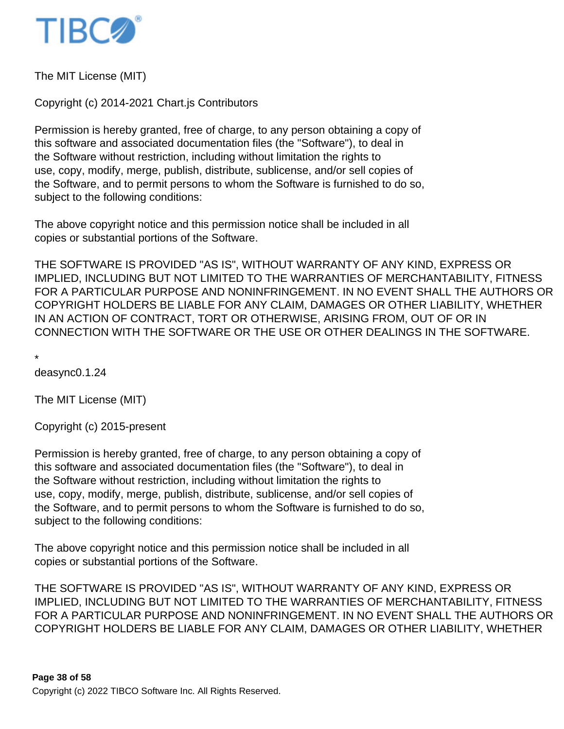

The MIT License (MIT)

Copyright (c) 2014-2021 Chart.js Contributors

Permission is hereby granted, free of charge, to any person obtaining a copy of this software and associated documentation files (the "Software"), to deal in the Software without restriction, including without limitation the rights to use, copy, modify, merge, publish, distribute, sublicense, and/or sell copies of the Software, and to permit persons to whom the Software is furnished to do so, subject to the following conditions:

The above copyright notice and this permission notice shall be included in all copies or substantial portions of the Software.

THE SOFTWARE IS PROVIDED "AS IS", WITHOUT WARRANTY OF ANY KIND, EXPRESS OR IMPLIED, INCLUDING BUT NOT LIMITED TO THE WARRANTIES OF MERCHANTABILITY, FITNESS FOR A PARTICULAR PURPOSE AND NONINFRINGEMENT. IN NO EVENT SHALL THE AUTHORS OR COPYRIGHT HOLDERS BE LIABLE FOR ANY CLAIM, DAMAGES OR OTHER LIABILITY, WHETHER IN AN ACTION OF CONTRACT, TORT OR OTHERWISE, ARISING FROM, OUT OF OR IN CONNECTION WITH THE SOFTWARE OR THE USE OR OTHER DEALINGS IN THE SOFTWARE.

\*

deasync 0.1.24

The MIT License (MIT)

Copyright (c) 2015-present

Permission is hereby granted, free of charge, to any person obtaining a copy of this software and associated documentation files (the "Software"), to deal in the Software without restriction, including without limitation the rights to use, copy, modify, merge, publish, distribute, sublicense, and/or sell copies of the Software, and to permit persons to whom the Software is furnished to do so, subject to the following conditions:

The above copyright notice and this permission notice shall be included in all copies or substantial portions of the Software.

THE SOFTWARE IS PROVIDED "AS IS", WITHOUT WARRANTY OF ANY KIND, EXPRESS OR IMPLIED, INCLUDING BUT NOT LIMITED TO THE WARRANTIES OF MERCHANTABILITY, FITNESS FOR A PARTICULAR PURPOSE AND NONINFRINGEMENT. IN NO EVENT SHALL THE AUTHORS OR COPYRIGHT HOLDERS BE LIABLE FOR ANY CLAIM, DAMAGES OR OTHER LIABILITY, WHETHER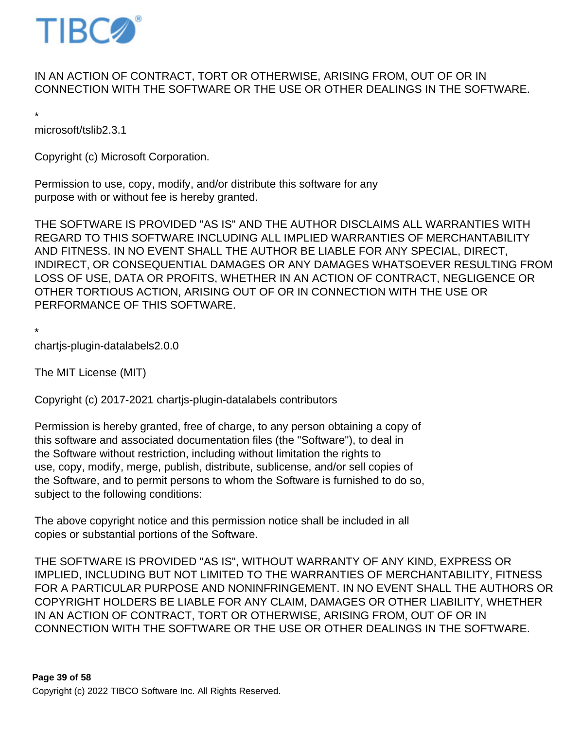

## IN AN ACTION OF CONTRACT, TORT OR OTHERWISE, ARISING FROM, OUT OF OR IN CONNECTION WITH THE SOFTWARE OR THE USE OR OTHER DEALINGS IN THE SOFTWARE.

\*

microsoft/tslib 2.3.1

Copyright (c) Microsoft Corporation.

Permission to use, copy, modify, and/or distribute this software for any purpose with or without fee is hereby granted.

THE SOFTWARE IS PROVIDED "AS IS" AND THE AUTHOR DISCLAIMS ALL WARRANTIES WITH REGARD TO THIS SOFTWARE INCLUDING ALL IMPLIED WARRANTIES OF MERCHANTABILITY AND FITNESS. IN NO EVENT SHALL THE AUTHOR BE LIABLE FOR ANY SPECIAL, DIRECT, INDIRECT, OR CONSEQUENTIAL DAMAGES OR ANY DAMAGES WHATSOEVER RESULTING FROM LOSS OF USE, DATA OR PROFITS, WHETHER IN AN ACTION OF CONTRACT, NEGLIGENCE OR OTHER TORTIOUS ACTION, ARISING OUT OF OR IN CONNECTION WITH THE USE OR PERFORMANCE OF THIS SOFTWARE.

\* chartjs-plugin-datalabels 2.0.0

The MIT License (MIT)

Copyright (c) 2017-2021 chartjs-plugin-datalabels contributors

Permission is hereby granted, free of charge, to any person obtaining a copy of this software and associated documentation files (the "Software"), to deal in the Software without restriction, including without limitation the rights to use, copy, modify, merge, publish, distribute, sublicense, and/or sell copies of the Software, and to permit persons to whom the Software is furnished to do so, subject to the following conditions:

The above copyright notice and this permission notice shall be included in all copies or substantial portions of the Software.

THE SOFTWARE IS PROVIDED "AS IS", WITHOUT WARRANTY OF ANY KIND, EXPRESS OR IMPLIED, INCLUDING BUT NOT LIMITED TO THE WARRANTIES OF MERCHANTABILITY, FITNESS FOR A PARTICULAR PURPOSE AND NONINFRINGEMENT. IN NO EVENT SHALL THE AUTHORS OR COPYRIGHT HOLDERS BE LIABLE FOR ANY CLAIM, DAMAGES OR OTHER LIABILITY, WHETHER IN AN ACTION OF CONTRACT, TORT OR OTHERWISE, ARISING FROM, OUT OF OR IN CONNECTION WITH THE SOFTWARE OR THE USE OR OTHER DEALINGS IN THE SOFTWARE.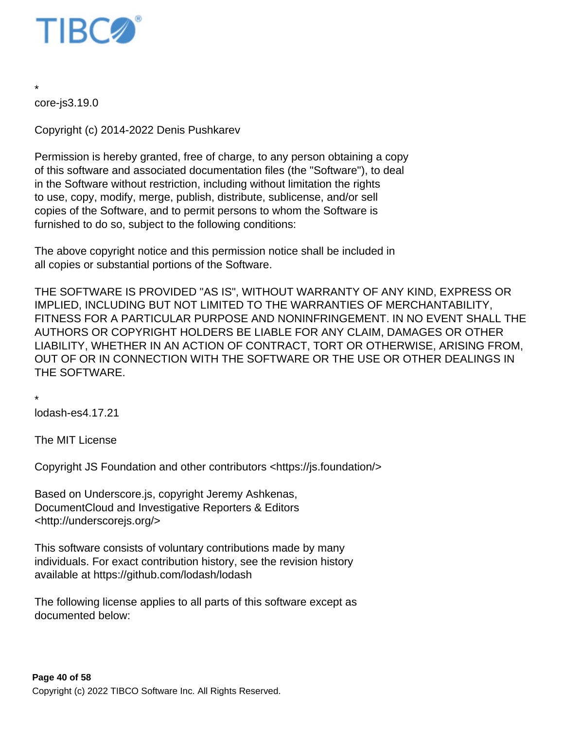

core-js 3.19.0

\*

Copyright (c) 2014-2022 Denis Pushkarev

Permission is hereby granted, free of charge, to any person obtaining a copy of this software and associated documentation files (the "Software"), to deal in the Software without restriction, including without limitation the rights to use, copy, modify, merge, publish, distribute, sublicense, and/or sell copies of the Software, and to permit persons to whom the Software is furnished to do so, subject to the following conditions:

The above copyright notice and this permission notice shall be included in all copies or substantial portions of the Software.

THE SOFTWARE IS PROVIDED "AS IS", WITHOUT WARRANTY OF ANY KIND, EXPRESS OR IMPLIED, INCLUDING BUT NOT LIMITED TO THE WARRANTIES OF MERCHANTABILITY, FITNESS FOR A PARTICULAR PURPOSE AND NONINFRINGEMENT. IN NO EVENT SHALL THE AUTHORS OR COPYRIGHT HOLDERS BE LIABLE FOR ANY CLAIM, DAMAGES OR OTHER LIABILITY, WHETHER IN AN ACTION OF CONTRACT, TORT OR OTHERWISE, ARISING FROM, OUT OF OR IN CONNECTION WITH THE SOFTWARE OR THE USE OR OTHER DEALINGS IN THE SOFTWARE.

\*

lodash-es 4.17.21

The MIT License

Copyright JS Foundation and other contributors <https://js.foundation/>

Based on Underscore.js, copyright Jeremy Ashkenas, DocumentCloud and Investigative Reporters & Editors <http://underscorejs.org/>

This software consists of voluntary contributions made by many individuals. For exact contribution history, see the revision history available at https://github.com/lodash/lodash

The following license applies to all parts of this software except as documented below: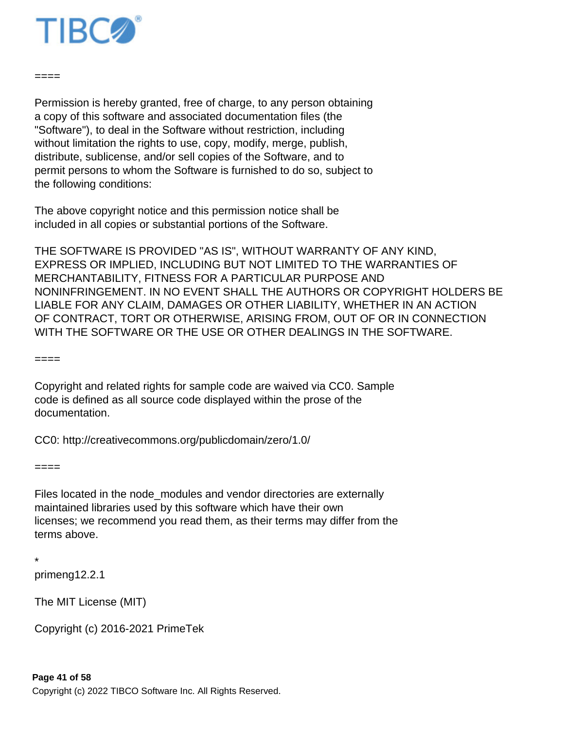

 $====$ 

Permission is hereby granted, free of charge, to any person obtaining a copy of this software and associated documentation files (the "Software"), to deal in the Software without restriction, including without limitation the rights to use, copy, modify, merge, publish, distribute, sublicense, and/or sell copies of the Software, and to permit persons to whom the Software is furnished to do so, subject to the following conditions:

The above copyright notice and this permission notice shall be included in all copies or substantial portions of the Software.

THE SOFTWARE IS PROVIDED "AS IS", WITHOUT WARRANTY OF ANY KIND, EXPRESS OR IMPLIED, INCLUDING BUT NOT LIMITED TO THE WARRANTIES OF MERCHANTABILITY, FITNESS FOR A PARTICULAR PURPOSE AND NONINFRINGEMENT. IN NO EVENT SHALL THE AUTHORS OR COPYRIGHT HOLDERS BE LIABLE FOR ANY CLAIM, DAMAGES OR OTHER LIABILITY, WHETHER IN AN ACTION OF CONTRACT, TORT OR OTHERWISE, ARISING FROM, OUT OF OR IN CONNECTION WITH THE SOFTWARE OR THE USE OR OTHER DEALINGS IN THE SOFTWARE.

 $====$ 

Copyright and related rights for sample code are waived via CC0. Sample code is defined as all source code displayed within the prose of the documentation.

CC0: http://creativecommons.org/publicdomain/zero/1.0/

 $---$ 

Files located in the node\_modules and vendor directories are externally maintained libraries used by this software which have their own licenses; we recommend you read them, as their terms may differ from the terms above.

\*

primeng 12.2.1

The MIT License (MIT)

Copyright (c) 2016-2021 PrimeTek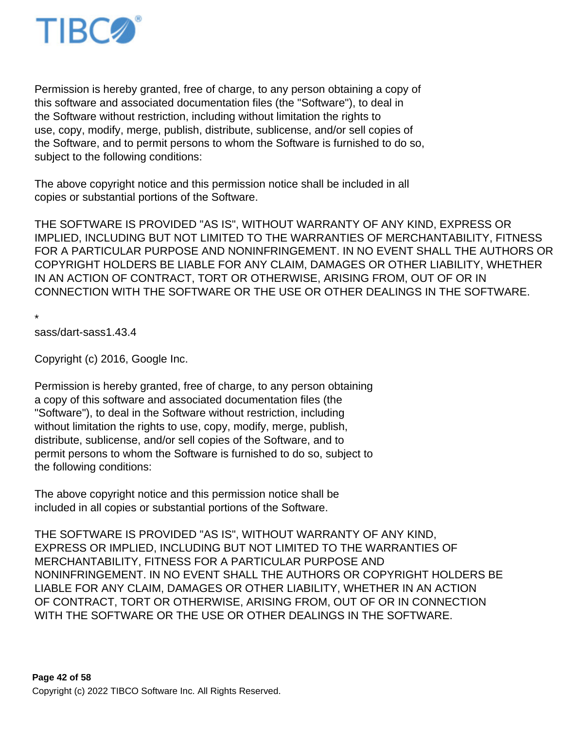

Permission is hereby granted, free of charge, to any person obtaining a copy of this software and associated documentation files (the "Software"), to deal in the Software without restriction, including without limitation the rights to use, copy, modify, merge, publish, distribute, sublicense, and/or sell copies of the Software, and to permit persons to whom the Software is furnished to do so, subject to the following conditions:

The above copyright notice and this permission notice shall be included in all copies or substantial portions of the Software.

THE SOFTWARE IS PROVIDED "AS IS", WITHOUT WARRANTY OF ANY KIND, EXPRESS OR IMPLIED, INCLUDING BUT NOT LIMITED TO THE WARRANTIES OF MERCHANTABILITY, FITNESS FOR A PARTICULAR PURPOSE AND NONINFRINGEMENT. IN NO EVENT SHALL THE AUTHORS OR COPYRIGHT HOLDERS BE LIABLE FOR ANY CLAIM, DAMAGES OR OTHER LIABILITY, WHETHER IN AN ACTION OF CONTRACT, TORT OR OTHERWISE, ARISING FROM, OUT OF OR IN CONNECTION WITH THE SOFTWARE OR THE USE OR OTHER DEALINGS IN THE SOFTWARE.

\*

sass/dart-sass 1.43.4

Copyright (c) 2016, Google Inc.

Permission is hereby granted, free of charge, to any person obtaining a copy of this software and associated documentation files (the "Software"), to deal in the Software without restriction, including without limitation the rights to use, copy, modify, merge, publish, distribute, sublicense, and/or sell copies of the Software, and to permit persons to whom the Software is furnished to do so, subject to the following conditions:

The above copyright notice and this permission notice shall be included in all copies or substantial portions of the Software.

THE SOFTWARE IS PROVIDED "AS IS", WITHOUT WARRANTY OF ANY KIND, EXPRESS OR IMPLIED, INCLUDING BUT NOT LIMITED TO THE WARRANTIES OF MERCHANTABILITY, FITNESS FOR A PARTICULAR PURPOSE AND NONINFRINGEMENT. IN NO EVENT SHALL THE AUTHORS OR COPYRIGHT HOLDERS BE LIABLE FOR ANY CLAIM, DAMAGES OR OTHER LIABILITY, WHETHER IN AN ACTION OF CONTRACT, TORT OR OTHERWISE, ARISING FROM, OUT OF OR IN CONNECTION WITH THE SOFTWARE OR THE USE OR OTHER DEALINGS IN THE SOFTWARE.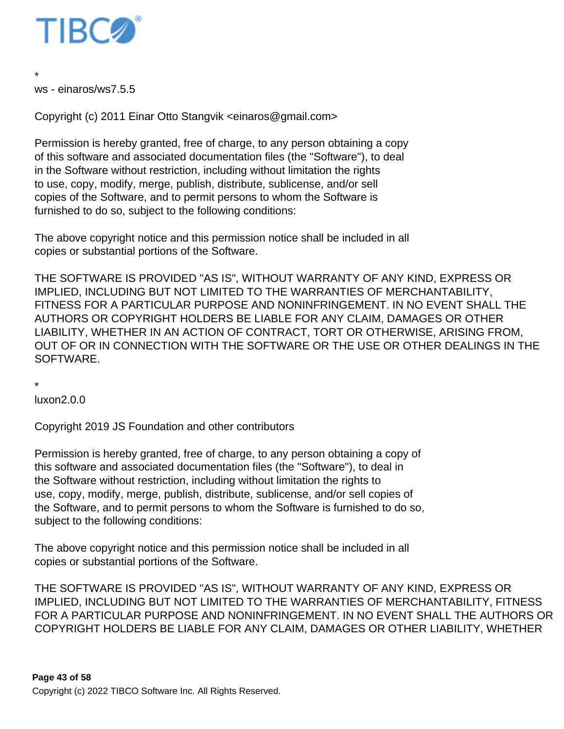

ws - einaros/ws 7.5.5

\*

Copyright (c) 2011 Einar Otto Stangvik <einaros@gmail.com>

Permission is hereby granted, free of charge, to any person obtaining a copy of this software and associated documentation files (the "Software"), to deal in the Software without restriction, including without limitation the rights to use, copy, modify, merge, publish, distribute, sublicense, and/or sell copies of the Software, and to permit persons to whom the Software is furnished to do so, subject to the following conditions:

The above copyright notice and this permission notice shall be included in all copies or substantial portions of the Software.

THE SOFTWARE IS PROVIDED "AS IS", WITHOUT WARRANTY OF ANY KIND, EXPRESS OR IMPLIED, INCLUDING BUT NOT LIMITED TO THE WARRANTIES OF MERCHANTABILITY, FITNESS FOR A PARTICULAR PURPOSE AND NONINFRINGEMENT. IN NO EVENT SHALL THE AUTHORS OR COPYRIGHT HOLDERS BE LIABLE FOR ANY CLAIM, DAMAGES OR OTHER LIABILITY, WHETHER IN AN ACTION OF CONTRACT, TORT OR OTHERWISE, ARISING FROM, OUT OF OR IN CONNECTION WITH THE SOFTWARE OR THE USE OR OTHER DEALINGS IN THE SOFTWARE.

\*

luxon 2.0.0

Copyright 2019 JS Foundation and other contributors

Permission is hereby granted, free of charge, to any person obtaining a copy of this software and associated documentation files (the "Software"), to deal in the Software without restriction, including without limitation the rights to use, copy, modify, merge, publish, distribute, sublicense, and/or sell copies of the Software, and to permit persons to whom the Software is furnished to do so, subject to the following conditions:

The above copyright notice and this permission notice shall be included in all copies or substantial portions of the Software.

THE SOFTWARE IS PROVIDED "AS IS", WITHOUT WARRANTY OF ANY KIND, EXPRESS OR IMPLIED, INCLUDING BUT NOT LIMITED TO THE WARRANTIES OF MERCHANTABILITY, FITNESS FOR A PARTICULAR PURPOSE AND NONINFRINGEMENT. IN NO EVENT SHALL THE AUTHORS OR COPYRIGHT HOLDERS BE LIABLE FOR ANY CLAIM, DAMAGES OR OTHER LIABILITY, WHETHER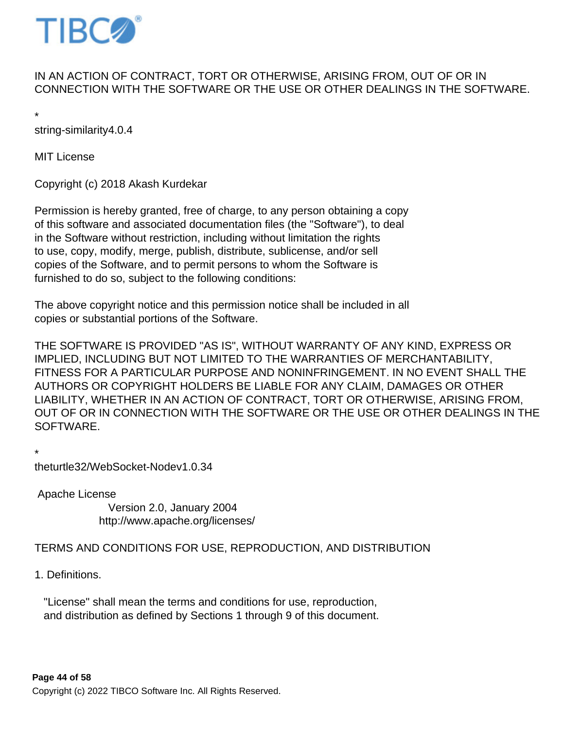

## IN AN ACTION OF CONTRACT, TORT OR OTHERWISE, ARISING FROM, OUT OF OR IN CONNECTION WITH THE SOFTWARE OR THE USE OR OTHER DEALINGS IN THE SOFTWARE.

\*

string-similarity 4.0.4

MIT License

Copyright (c) 2018 Akash Kurdekar

Permission is hereby granted, free of charge, to any person obtaining a copy of this software and associated documentation files (the "Software"), to deal in the Software without restriction, including without limitation the rights to use, copy, modify, merge, publish, distribute, sublicense, and/or sell copies of the Software, and to permit persons to whom the Software is furnished to do so, subject to the following conditions:

The above copyright notice and this permission notice shall be included in all copies or substantial portions of the Software.

THE SOFTWARE IS PROVIDED "AS IS", WITHOUT WARRANTY OF ANY KIND, EXPRESS OR IMPLIED, INCLUDING BUT NOT LIMITED TO THE WARRANTIES OF MERCHANTABILITY, FITNESS FOR A PARTICULAR PURPOSE AND NONINFRINGEMENT. IN NO EVENT SHALL THE AUTHORS OR COPYRIGHT HOLDERS BE LIABLE FOR ANY CLAIM, DAMAGES OR OTHER LIABILITY, WHETHER IN AN ACTION OF CONTRACT, TORT OR OTHERWISE, ARISING FROM, OUT OF OR IN CONNECTION WITH THE SOFTWARE OR THE USE OR OTHER DEALINGS IN THE SOFTWARE.

\*

theturtle32/WebSocket-Node v1.0.34

 Apache License Version 2.0, January 2004 http://www.apache.org/licenses/

#### TERMS AND CONDITIONS FOR USE, REPRODUCTION, AND DISTRIBUTION

1. Definitions.

 "License" shall mean the terms and conditions for use, reproduction, and distribution as defined by Sections 1 through 9 of this document.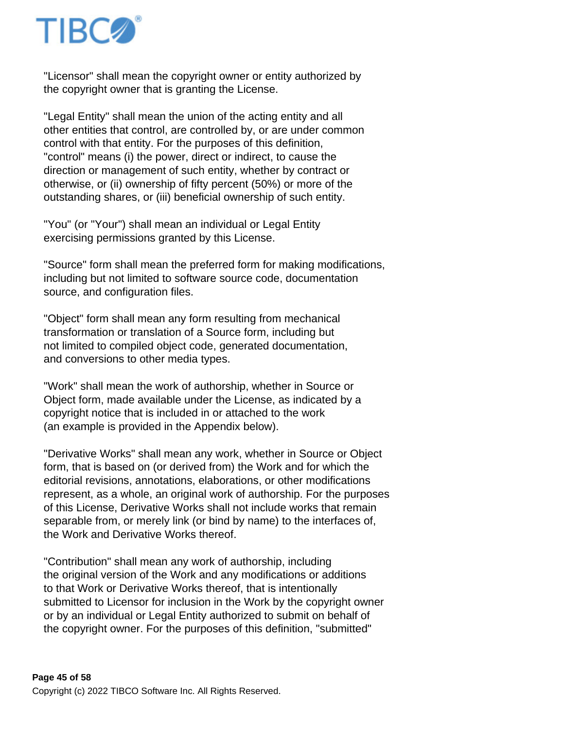

 "Licensor" shall mean the copyright owner or entity authorized by the copyright owner that is granting the License.

 "Legal Entity" shall mean the union of the acting entity and all other entities that control, are controlled by, or are under common control with that entity. For the purposes of this definition, "control" means (i) the power, direct or indirect, to cause the direction or management of such entity, whether by contract or otherwise, or (ii) ownership of fifty percent (50%) or more of the outstanding shares, or (iii) beneficial ownership of such entity.

 "You" (or "Your") shall mean an individual or Legal Entity exercising permissions granted by this License.

 "Source" form shall mean the preferred form for making modifications, including but not limited to software source code, documentation source, and configuration files.

 "Object" form shall mean any form resulting from mechanical transformation or translation of a Source form, including but not limited to compiled object code, generated documentation, and conversions to other media types.

 "Work" shall mean the work of authorship, whether in Source or Object form, made available under the License, as indicated by a copyright notice that is included in or attached to the work (an example is provided in the Appendix below).

 "Derivative Works" shall mean any work, whether in Source or Object form, that is based on (or derived from) the Work and for which the editorial revisions, annotations, elaborations, or other modifications represent, as a whole, an original work of authorship. For the purposes of this License, Derivative Works shall not include works that remain separable from, or merely link (or bind by name) to the interfaces of, the Work and Derivative Works thereof.

 "Contribution" shall mean any work of authorship, including the original version of the Work and any modifications or additions to that Work or Derivative Works thereof, that is intentionally submitted to Licensor for inclusion in the Work by the copyright owner or by an individual or Legal Entity authorized to submit on behalf of the copyright owner. For the purposes of this definition, "submitted"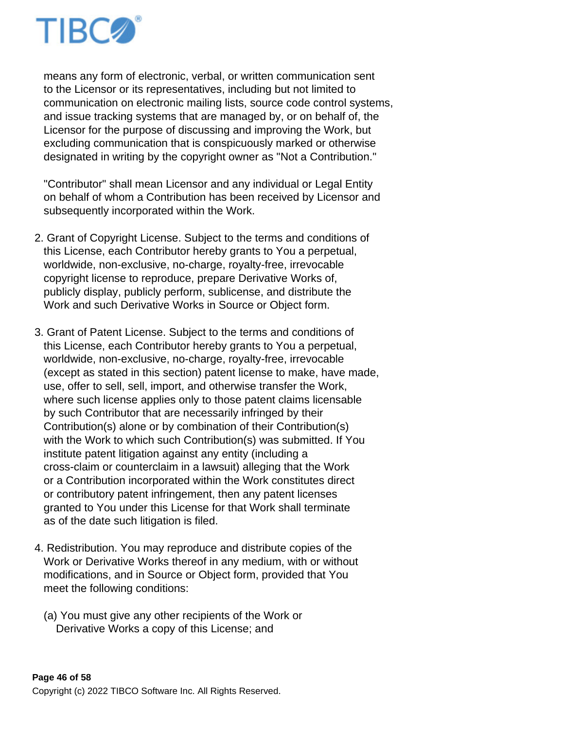

 means any form of electronic, verbal, or written communication sent to the Licensor or its representatives, including but not limited to communication on electronic mailing lists, source code control systems, and issue tracking systems that are managed by, or on behalf of, the Licensor for the purpose of discussing and improving the Work, but excluding communication that is conspicuously marked or otherwise designated in writing by the copyright owner as "Not a Contribution."

 "Contributor" shall mean Licensor and any individual or Legal Entity on behalf of whom a Contribution has been received by Licensor and subsequently incorporated within the Work.

- 2. Grant of Copyright License. Subject to the terms and conditions of this License, each Contributor hereby grants to You a perpetual, worldwide, non-exclusive, no-charge, royalty-free, irrevocable copyright license to reproduce, prepare Derivative Works of, publicly display, publicly perform, sublicense, and distribute the Work and such Derivative Works in Source or Object form.
- 3. Grant of Patent License. Subject to the terms and conditions of this License, each Contributor hereby grants to You a perpetual, worldwide, non-exclusive, no-charge, royalty-free, irrevocable (except as stated in this section) patent license to make, have made, use, offer to sell, sell, import, and otherwise transfer the Work, where such license applies only to those patent claims licensable by such Contributor that are necessarily infringed by their Contribution(s) alone or by combination of their Contribution(s) with the Work to which such Contribution(s) was submitted. If You institute patent litigation against any entity (including a cross-claim or counterclaim in a lawsuit) alleging that the Work or a Contribution incorporated within the Work constitutes direct or contributory patent infringement, then any patent licenses granted to You under this License for that Work shall terminate as of the date such litigation is filed.
- 4. Redistribution. You may reproduce and distribute copies of the Work or Derivative Works thereof in any medium, with or without modifications, and in Source or Object form, provided that You meet the following conditions:
	- (a) You must give any other recipients of the Work or Derivative Works a copy of this License; and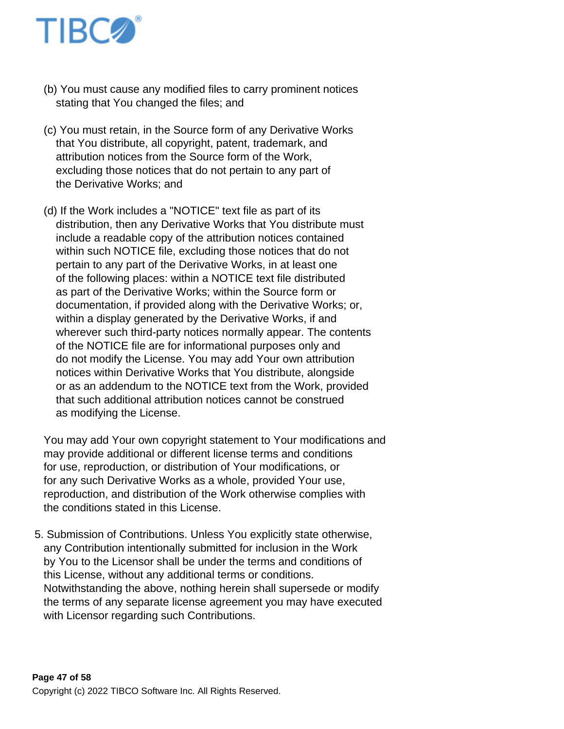

- (b) You must cause any modified files to carry prominent notices stating that You changed the files; and
- (c) You must retain, in the Source form of any Derivative Works that You distribute, all copyright, patent, trademark, and attribution notices from the Source form of the Work, excluding those notices that do not pertain to any part of the Derivative Works; and
- (d) If the Work includes a "NOTICE" text file as part of its distribution, then any Derivative Works that You distribute must include a readable copy of the attribution notices contained within such NOTICE file, excluding those notices that do not pertain to any part of the Derivative Works, in at least one of the following places: within a NOTICE text file distributed as part of the Derivative Works; within the Source form or documentation, if provided along with the Derivative Works; or, within a display generated by the Derivative Works, if and wherever such third-party notices normally appear. The contents of the NOTICE file are for informational purposes only and do not modify the License. You may add Your own attribution notices within Derivative Works that You distribute, alongside or as an addendum to the NOTICE text from the Work, provided that such additional attribution notices cannot be construed as modifying the License.

 You may add Your own copyright statement to Your modifications and may provide additional or different license terms and conditions for use, reproduction, or distribution of Your modifications, or for any such Derivative Works as a whole, provided Your use, reproduction, and distribution of the Work otherwise complies with the conditions stated in this License.

5. Submission of Contributions. Unless You explicitly state otherwise, any Contribution intentionally submitted for inclusion in the Work by You to the Licensor shall be under the terms and conditions of this License, without any additional terms or conditions. Notwithstanding the above, nothing herein shall supersede or modify the terms of any separate license agreement you may have executed with Licensor regarding such Contributions.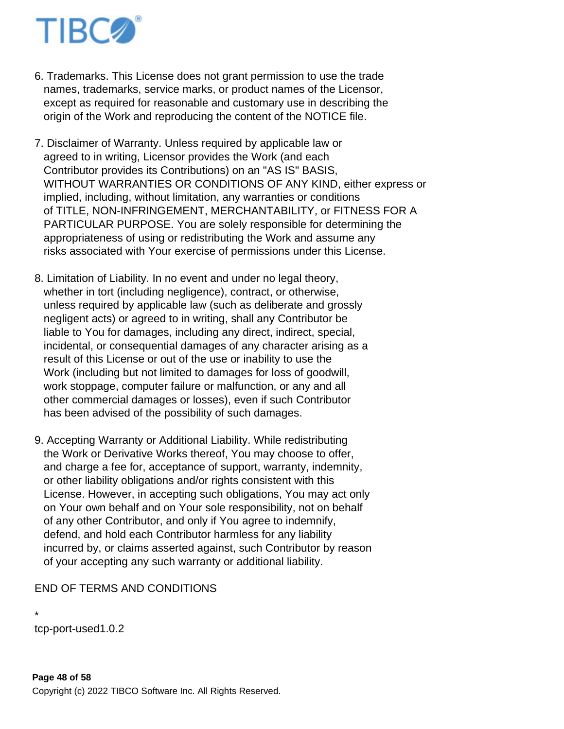

- 6. Trademarks. This License does not grant permission to use the trade names, trademarks, service marks, or product names of the Licensor, except as required for reasonable and customary use in describing the origin of the Work and reproducing the content of the NOTICE file.
- 7. Disclaimer of Warranty. Unless required by applicable law or agreed to in writing, Licensor provides the Work (and each Contributor provides its Contributions) on an "AS IS" BASIS, WITHOUT WARRANTIES OR CONDITIONS OF ANY KIND, either express or implied, including, without limitation, any warranties or conditions of TITLE, NON-INFRINGEMENT, MERCHANTABILITY, or FITNESS FOR A PARTICULAR PURPOSE. You are solely responsible for determining the appropriateness of using or redistributing the Work and assume any risks associated with Your exercise of permissions under this License.
- 8. Limitation of Liability. In no event and under no legal theory, whether in tort (including negligence), contract, or otherwise, unless required by applicable law (such as deliberate and grossly negligent acts) or agreed to in writing, shall any Contributor be liable to You for damages, including any direct, indirect, special, incidental, or consequential damages of any character arising as a result of this License or out of the use or inability to use the Work (including but not limited to damages for loss of goodwill, work stoppage, computer failure or malfunction, or any and all other commercial damages or losses), even if such Contributor has been advised of the possibility of such damages.
- 9. Accepting Warranty or Additional Liability. While redistributing the Work or Derivative Works thereof, You may choose to offer, and charge a fee for, acceptance of support, warranty, indemnity, or other liability obligations and/or rights consistent with this License. However, in accepting such obligations, You may act only on Your own behalf and on Your sole responsibility, not on behalf of any other Contributor, and only if You agree to indemnify, defend, and hold each Contributor harmless for any liability incurred by, or claims asserted against, such Contributor by reason of your accepting any such warranty or additional liability.

END OF TERMS AND CONDITIONS

\* tcp-port-used 1.0.2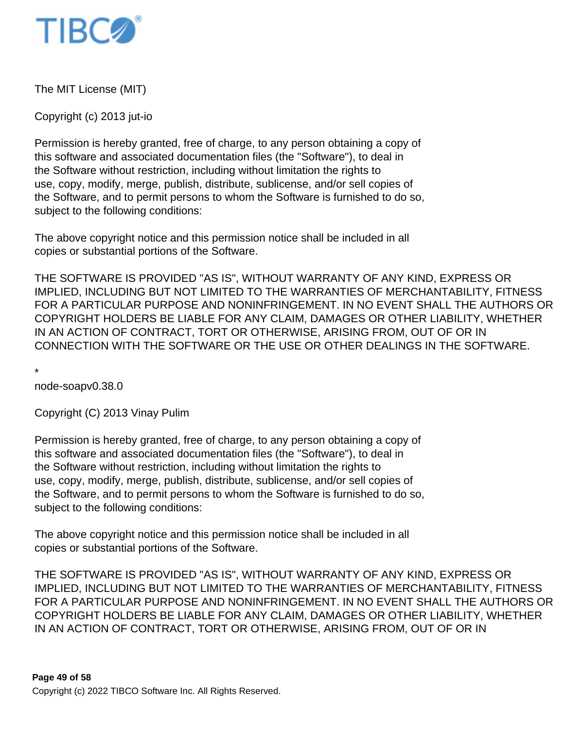

The MIT License (MIT)

Copyright (c) 2013 jut-io

Permission is hereby granted, free of charge, to any person obtaining a copy of this software and associated documentation files (the "Software"), to deal in the Software without restriction, including without limitation the rights to use, copy, modify, merge, publish, distribute, sublicense, and/or sell copies of the Software, and to permit persons to whom the Software is furnished to do so, subject to the following conditions:

The above copyright notice and this permission notice shall be included in all copies or substantial portions of the Software.

THE SOFTWARE IS PROVIDED "AS IS", WITHOUT WARRANTY OF ANY KIND, EXPRESS OR IMPLIED, INCLUDING BUT NOT LIMITED TO THE WARRANTIES OF MERCHANTABILITY, FITNESS FOR A PARTICULAR PURPOSE AND NONINFRINGEMENT. IN NO EVENT SHALL THE AUTHORS OR COPYRIGHT HOLDERS BE LIABLE FOR ANY CLAIM, DAMAGES OR OTHER LIABILITY, WHETHER IN AN ACTION OF CONTRACT, TORT OR OTHERWISE, ARISING FROM, OUT OF OR IN CONNECTION WITH THE SOFTWARE OR THE USE OR OTHER DEALINGS IN THE SOFTWARE.

\*

node-soap v0.38.0

Copyright (C) 2013 Vinay Pulim

Permission is hereby granted, free of charge, to any person obtaining a copy of this software and associated documentation files (the "Software"), to deal in the Software without restriction, including without limitation the rights to use, copy, modify, merge, publish, distribute, sublicense, and/or sell copies of the Software, and to permit persons to whom the Software is furnished to do so, subject to the following conditions:

The above copyright notice and this permission notice shall be included in all copies or substantial portions of the Software.

THE SOFTWARE IS PROVIDED "AS IS", WITHOUT WARRANTY OF ANY KIND, EXPRESS OR IMPLIED, INCLUDING BUT NOT LIMITED TO THE WARRANTIES OF MERCHANTABILITY, FITNESS FOR A PARTICULAR PURPOSE AND NONINFRINGEMENT. IN NO EVENT SHALL THE AUTHORS OR COPYRIGHT HOLDERS BE LIABLE FOR ANY CLAIM, DAMAGES OR OTHER LIABILITY, WHETHER IN AN ACTION OF CONTRACT, TORT OR OTHERWISE, ARISING FROM, OUT OF OR IN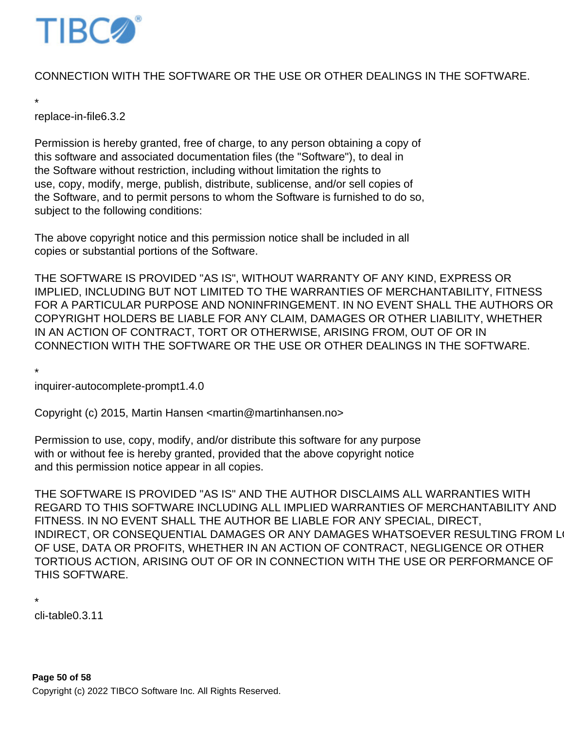

# CONNECTION WITH THE SOFTWARE OR THE USE OR OTHER DEALINGS IN THE SOFTWARE.

\* replace-in-file 6.3.2

Permission is hereby granted, free of charge, to any person obtaining a copy of this software and associated documentation files (the "Software"), to deal in the Software without restriction, including without limitation the rights to use, copy, modify, merge, publish, distribute, sublicense, and/or sell copies of the Software, and to permit persons to whom the Software is furnished to do so, subject to the following conditions:

The above copyright notice and this permission notice shall be included in all copies or substantial portions of the Software.

THE SOFTWARE IS PROVIDED "AS IS", WITHOUT WARRANTY OF ANY KIND, EXPRESS OR IMPLIED, INCLUDING BUT NOT LIMITED TO THE WARRANTIES OF MERCHANTABILITY, FITNESS FOR A PARTICULAR PURPOSE AND NONINFRINGEMENT. IN NO EVENT SHALL THE AUTHORS OR COPYRIGHT HOLDERS BE LIABLE FOR ANY CLAIM, DAMAGES OR OTHER LIABILITY, WHETHER IN AN ACTION OF CONTRACT, TORT OR OTHERWISE, ARISING FROM, OUT OF OR IN CONNECTION WITH THE SOFTWARE OR THE USE OR OTHER DEALINGS IN THE SOFTWARE.

\*

inquirer-autocomplete-prompt 1.4.0

Copyright (c) 2015, Martin Hansen <martin@martinhansen.no>

Permission to use, copy, modify, and/or distribute this software for any purpose with or without fee is hereby granted, provided that the above copyright notice and this permission notice appear in all copies.

THE SOFTWARE IS PROVIDED "AS IS" AND THE AUTHOR DISCLAIMS ALL WARRANTIES WITH REGARD TO THIS SOFTWARE INCLUDING ALL IMPLIED WARRANTIES OF MERCHANTABILITY AND FITNESS. IN NO EVENT SHALL THE AUTHOR BE LIABLE FOR ANY SPECIAL, DIRECT, INDIRECT, OR CONSEQUENTIAL DAMAGES OR ANY DAMAGES WHATSOEVER RESULTING FROM LOST OF USE, DATA OR PROFITS, WHETHER IN AN ACTION OF CONTRACT, NEGLIGENCE OR OTHER TORTIOUS ACTION, ARISING OUT OF OR IN CONNECTION WITH THE USE OR PERFORMANCE OF THIS SOFTWARE.

```
*
```
 $cli$ -table  $0.3.11$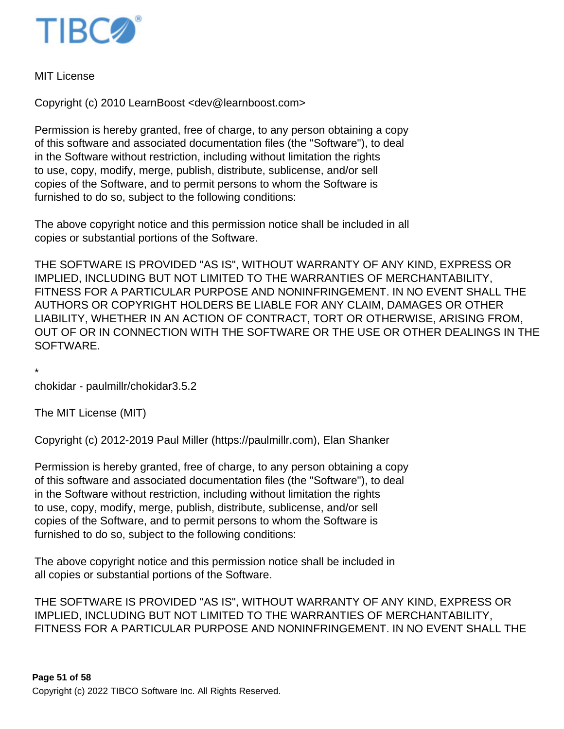

MIT License

Copyright (c) 2010 LearnBoost <dev@learnboost.com>

Permission is hereby granted, free of charge, to any person obtaining a copy of this software and associated documentation files (the "Software"), to deal in the Software without restriction, including without limitation the rights to use, copy, modify, merge, publish, distribute, sublicense, and/or sell copies of the Software, and to permit persons to whom the Software is furnished to do so, subject to the following conditions:

The above copyright notice and this permission notice shall be included in all copies or substantial portions of the Software.

THE SOFTWARE IS PROVIDED "AS IS", WITHOUT WARRANTY OF ANY KIND, EXPRESS OR IMPLIED, INCLUDING BUT NOT LIMITED TO THE WARRANTIES OF MERCHANTABILITY, FITNESS FOR A PARTICULAR PURPOSE AND NONINFRINGEMENT. IN NO EVENT SHALL THE AUTHORS OR COPYRIGHT HOLDERS BE LIABLE FOR ANY CLAIM, DAMAGES OR OTHER LIABILITY, WHETHER IN AN ACTION OF CONTRACT, TORT OR OTHERWISE, ARISING FROM, OUT OF OR IN CONNECTION WITH THE SOFTWARE OR THE USE OR OTHER DEALINGS IN THE SOFTWARE.

\* chokidar - paulmillr/chokidar 3.5.2

The MIT License (MIT)

Copyright (c) 2012-2019 Paul Miller (https://paulmillr.com), Elan Shanker

Permission is hereby granted, free of charge, to any person obtaining a copy of this software and associated documentation files (the "Software"), to deal in the Software without restriction, including without limitation the rights to use, copy, modify, merge, publish, distribute, sublicense, and/or sell copies of the Software, and to permit persons to whom the Software is furnished to do so, subject to the following conditions:

The above copyright notice and this permission notice shall be included in all copies or substantial portions of the Software.

THE SOFTWARE IS PROVIDED "AS IS", WITHOUT WARRANTY OF ANY KIND, EXPRESS OR IMPLIED, INCLUDING BUT NOT LIMITED TO THE WARRANTIES OF MERCHANTABILITY, FITNESS FOR A PARTICULAR PURPOSE AND NONINFRINGEMENT. IN NO EVENT SHALL THE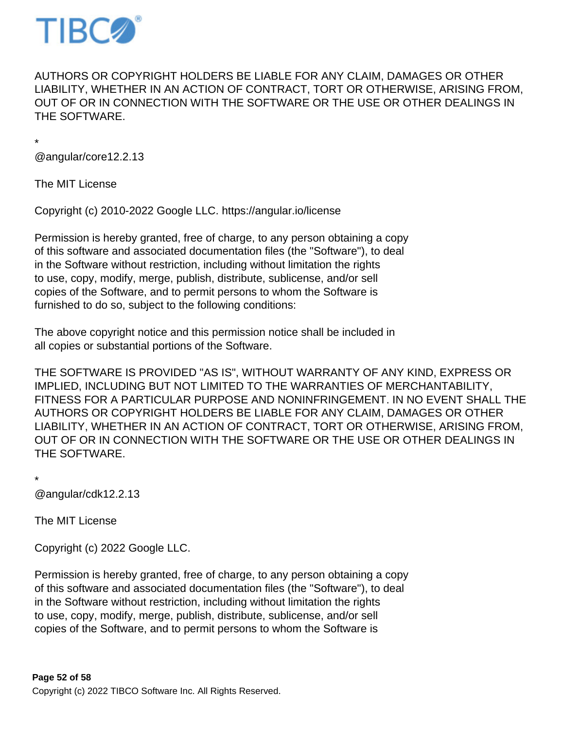

AUTHORS OR COPYRIGHT HOLDERS BE LIABLE FOR ANY CLAIM, DAMAGES OR OTHER LIABILITY, WHETHER IN AN ACTION OF CONTRACT, TORT OR OTHERWISE, ARISING FROM, OUT OF OR IN CONNECTION WITH THE SOFTWARE OR THE USE OR OTHER DEALINGS IN THE SOFTWARE.

\*

@angular/core 12.2.13

The MIT License

Copyright (c) 2010-2022 Google LLC. https://angular.io/license

Permission is hereby granted, free of charge, to any person obtaining a copy of this software and associated documentation files (the "Software"), to deal in the Software without restriction, including without limitation the rights to use, copy, modify, merge, publish, distribute, sublicense, and/or sell copies of the Software, and to permit persons to whom the Software is furnished to do so, subject to the following conditions:

The above copyright notice and this permission notice shall be included in all copies or substantial portions of the Software.

THE SOFTWARE IS PROVIDED "AS IS", WITHOUT WARRANTY OF ANY KIND, EXPRESS OR IMPLIED, INCLUDING BUT NOT LIMITED TO THE WARRANTIES OF MERCHANTABILITY, FITNESS FOR A PARTICULAR PURPOSE AND NONINFRINGEMENT. IN NO EVENT SHALL THE AUTHORS OR COPYRIGHT HOLDERS BE LIABLE FOR ANY CLAIM, DAMAGES OR OTHER LIABILITY, WHETHER IN AN ACTION OF CONTRACT, TORT OR OTHERWISE, ARISING FROM, OUT OF OR IN CONNECTION WITH THE SOFTWARE OR THE USE OR OTHER DEALINGS IN THE SOFTWARE.

\*

@angular/cdk 12.2.13

The MIT License

Copyright (c) 2022 Google LLC.

Permission is hereby granted, free of charge, to any person obtaining a copy of this software and associated documentation files (the "Software"), to deal in the Software without restriction, including without limitation the rights to use, copy, modify, merge, publish, distribute, sublicense, and/or sell copies of the Software, and to permit persons to whom the Software is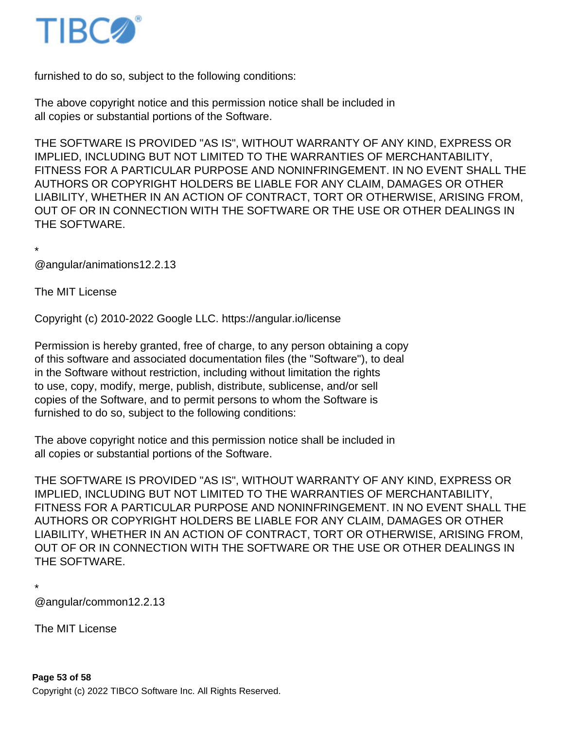

furnished to do so, subject to the following conditions:

The above copyright notice and this permission notice shall be included in all copies or substantial portions of the Software.

THE SOFTWARE IS PROVIDED "AS IS", WITHOUT WARRANTY OF ANY KIND, EXPRESS OR IMPLIED, INCLUDING BUT NOT LIMITED TO THE WARRANTIES OF MERCHANTABILITY, FITNESS FOR A PARTICULAR PURPOSE AND NONINFRINGEMENT. IN NO EVENT SHALL THE AUTHORS OR COPYRIGHT HOLDERS BE LIABLE FOR ANY CLAIM, DAMAGES OR OTHER LIABILITY, WHETHER IN AN ACTION OF CONTRACT, TORT OR OTHERWISE, ARISING FROM, OUT OF OR IN CONNECTION WITH THE SOFTWARE OR THE USE OR OTHER DEALINGS IN THE SOFTWARE.

\* @angular/animations 12.2.13

The MIT License

Copyright (c) 2010-2022 Google LLC. https://angular.io/license

Permission is hereby granted, free of charge, to any person obtaining a copy of this software and associated documentation files (the "Software"), to deal in the Software without restriction, including without limitation the rights to use, copy, modify, merge, publish, distribute, sublicense, and/or sell copies of the Software, and to permit persons to whom the Software is furnished to do so, subject to the following conditions:

The above copyright notice and this permission notice shall be included in all copies or substantial portions of the Software.

THE SOFTWARE IS PROVIDED "AS IS", WITHOUT WARRANTY OF ANY KIND, EXPRESS OR IMPLIED, INCLUDING BUT NOT LIMITED TO THE WARRANTIES OF MERCHANTABILITY, FITNESS FOR A PARTICULAR PURPOSE AND NONINFRINGEMENT. IN NO EVENT SHALL THE AUTHORS OR COPYRIGHT HOLDERS BE LIABLE FOR ANY CLAIM, DAMAGES OR OTHER LIABILITY, WHETHER IN AN ACTION OF CONTRACT, TORT OR OTHERWISE, ARISING FROM, OUT OF OR IN CONNECTION WITH THE SOFTWARE OR THE USE OR OTHER DEALINGS IN THE SOFTWARE.

\*

@angular/common 12.2.13

The MIT License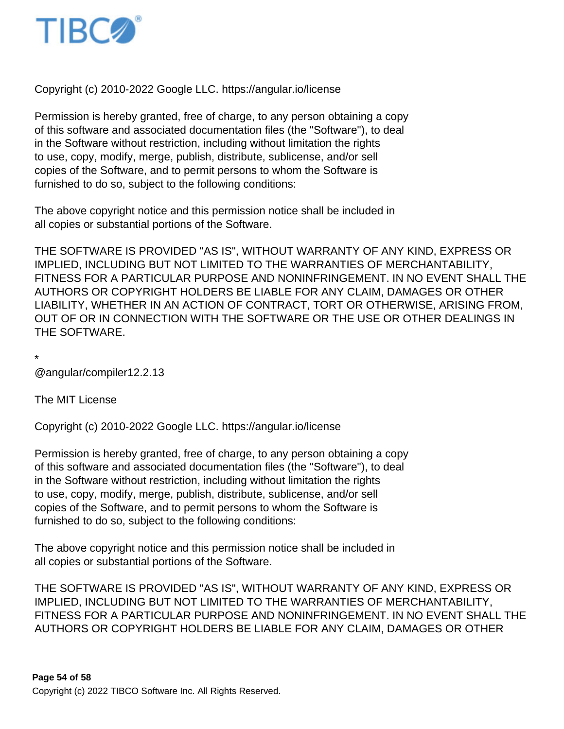

Copyright (c) 2010-2022 Google LLC. https://angular.io/license

Permission is hereby granted, free of charge, to any person obtaining a copy of this software and associated documentation files (the "Software"), to deal in the Software without restriction, including without limitation the rights to use, copy, modify, merge, publish, distribute, sublicense, and/or sell copies of the Software, and to permit persons to whom the Software is furnished to do so, subject to the following conditions:

The above copyright notice and this permission notice shall be included in all copies or substantial portions of the Software.

THE SOFTWARE IS PROVIDED "AS IS", WITHOUT WARRANTY OF ANY KIND, EXPRESS OR IMPLIED, INCLUDING BUT NOT LIMITED TO THE WARRANTIES OF MERCHANTABILITY, FITNESS FOR A PARTICULAR PURPOSE AND NONINFRINGEMENT. IN NO EVENT SHALL THE AUTHORS OR COPYRIGHT HOLDERS BE LIABLE FOR ANY CLAIM, DAMAGES OR OTHER LIABILITY, WHETHER IN AN ACTION OF CONTRACT, TORT OR OTHERWISE, ARISING FROM, OUT OF OR IN CONNECTION WITH THE SOFTWARE OR THE USE OR OTHER DEALINGS IN THE SOFTWARE.

\*

@angular/compiler 12.2.13

The MIT License

Copyright (c) 2010-2022 Google LLC. https://angular.io/license

Permission is hereby granted, free of charge, to any person obtaining a copy of this software and associated documentation files (the "Software"), to deal in the Software without restriction, including without limitation the rights to use, copy, modify, merge, publish, distribute, sublicense, and/or sell copies of the Software, and to permit persons to whom the Software is furnished to do so, subject to the following conditions:

The above copyright notice and this permission notice shall be included in all copies or substantial portions of the Software.

THE SOFTWARE IS PROVIDED "AS IS", WITHOUT WARRANTY OF ANY KIND, EXPRESS OR IMPLIED, INCLUDING BUT NOT LIMITED TO THE WARRANTIES OF MERCHANTABILITY, FITNESS FOR A PARTICULAR PURPOSE AND NONINFRINGEMENT. IN NO EVENT SHALL THE AUTHORS OR COPYRIGHT HOLDERS BE LIABLE FOR ANY CLAIM, DAMAGES OR OTHER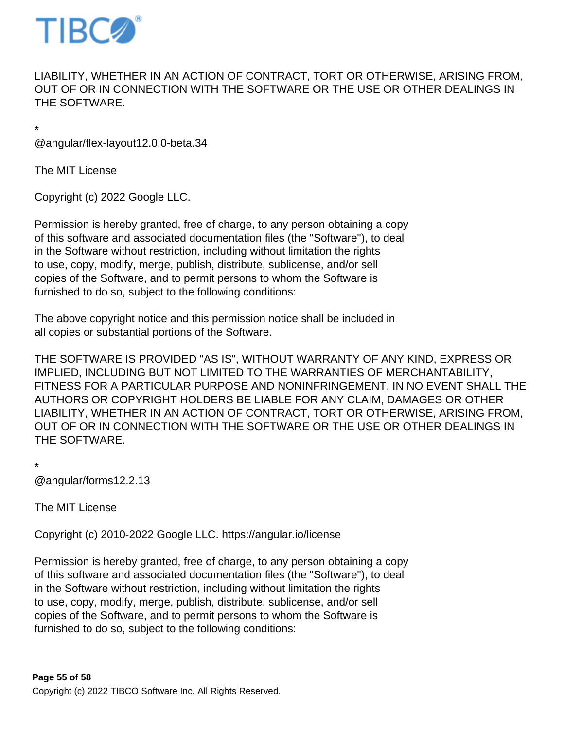

LIABILITY, WHETHER IN AN ACTION OF CONTRACT, TORT OR OTHERWISE, ARISING FROM, OUT OF OR IN CONNECTION WITH THE SOFTWARE OR THE USE OR OTHER DEALINGS IN THE SOFTWARE.

\* @angular/flex-layout 12.0.0-beta.34

The MIT License

Copyright (c) 2022 Google LLC.

Permission is hereby granted, free of charge, to any person obtaining a copy of this software and associated documentation files (the "Software"), to deal in the Software without restriction, including without limitation the rights to use, copy, modify, merge, publish, distribute, sublicense, and/or sell copies of the Software, and to permit persons to whom the Software is furnished to do so, subject to the following conditions:

The above copyright notice and this permission notice shall be included in all copies or substantial portions of the Software.

THE SOFTWARE IS PROVIDED "AS IS", WITHOUT WARRANTY OF ANY KIND, EXPRESS OR IMPLIED, INCLUDING BUT NOT LIMITED TO THE WARRANTIES OF MERCHANTABILITY, FITNESS FOR A PARTICULAR PURPOSE AND NONINFRINGEMENT. IN NO EVENT SHALL THE AUTHORS OR COPYRIGHT HOLDERS BE LIABLE FOR ANY CLAIM, DAMAGES OR OTHER LIABILITY, WHETHER IN AN ACTION OF CONTRACT, TORT OR OTHERWISE, ARISING FROM, OUT OF OR IN CONNECTION WITH THE SOFTWARE OR THE USE OR OTHER DEALINGS IN THE SOFTWARE.

\*

@angular/forms 12.2.13

The MIT License

Copyright (c) 2010-2022 Google LLC. https://angular.io/license

Permission is hereby granted, free of charge, to any person obtaining a copy of this software and associated documentation files (the "Software"), to deal in the Software without restriction, including without limitation the rights to use, copy, modify, merge, publish, distribute, sublicense, and/or sell copies of the Software, and to permit persons to whom the Software is furnished to do so, subject to the following conditions: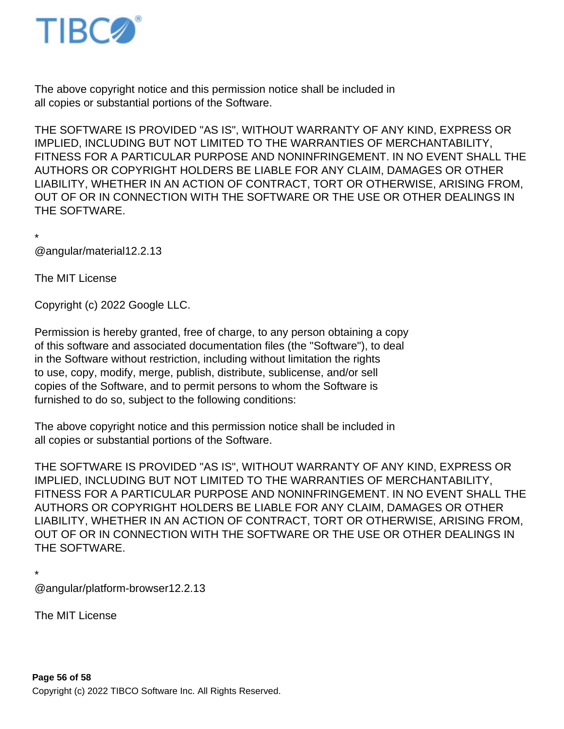

The above copyright notice and this permission notice shall be included in all copies or substantial portions of the Software.

THE SOFTWARE IS PROVIDED "AS IS", WITHOUT WARRANTY OF ANY KIND, EXPRESS OR IMPLIED, INCLUDING BUT NOT LIMITED TO THE WARRANTIES OF MERCHANTABILITY, FITNESS FOR A PARTICULAR PURPOSE AND NONINFRINGEMENT. IN NO EVENT SHALL THE AUTHORS OR COPYRIGHT HOLDERS BE LIABLE FOR ANY CLAIM, DAMAGES OR OTHER LIABILITY, WHETHER IN AN ACTION OF CONTRACT, TORT OR OTHERWISE, ARISING FROM, OUT OF OR IN CONNECTION WITH THE SOFTWARE OR THE USE OR OTHER DEALINGS IN THE SOFTWARE.

\*

@angular/material 12.2.13

The MIT License

Copyright (c) 2022 Google LLC.

Permission is hereby granted, free of charge, to any person obtaining a copy of this software and associated documentation files (the "Software"), to deal in the Software without restriction, including without limitation the rights to use, copy, modify, merge, publish, distribute, sublicense, and/or sell copies of the Software, and to permit persons to whom the Software is furnished to do so, subject to the following conditions:

The above copyright notice and this permission notice shall be included in all copies or substantial portions of the Software.

THE SOFTWARE IS PROVIDED "AS IS", WITHOUT WARRANTY OF ANY KIND, EXPRESS OR IMPLIED, INCLUDING BUT NOT LIMITED TO THE WARRANTIES OF MERCHANTABILITY, FITNESS FOR A PARTICULAR PURPOSE AND NONINFRINGEMENT. IN NO EVENT SHALL THE AUTHORS OR COPYRIGHT HOLDERS BE LIABLE FOR ANY CLAIM, DAMAGES OR OTHER LIABILITY, WHETHER IN AN ACTION OF CONTRACT, TORT OR OTHERWISE, ARISING FROM, OUT OF OR IN CONNECTION WITH THE SOFTWARE OR THE USE OR OTHER DEALINGS IN THE SOFTWARE.

\*

@angular/platform-browser 12.2.13

The MIT License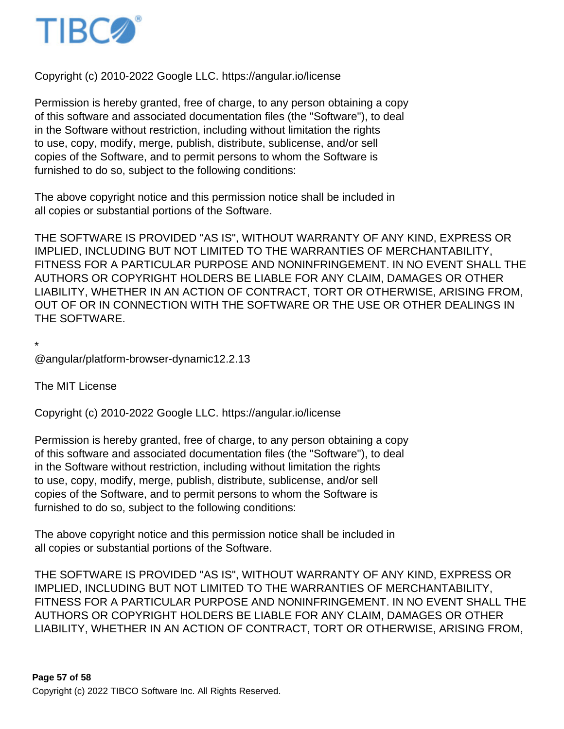

Copyright (c) 2010-2022 Google LLC. https://angular.io/license

Permission is hereby granted, free of charge, to any person obtaining a copy of this software and associated documentation files (the "Software"), to deal in the Software without restriction, including without limitation the rights to use, copy, modify, merge, publish, distribute, sublicense, and/or sell copies of the Software, and to permit persons to whom the Software is furnished to do so, subject to the following conditions:

The above copyright notice and this permission notice shall be included in all copies or substantial portions of the Software.

THE SOFTWARE IS PROVIDED "AS IS", WITHOUT WARRANTY OF ANY KIND, EXPRESS OR IMPLIED, INCLUDING BUT NOT LIMITED TO THE WARRANTIES OF MERCHANTABILITY, FITNESS FOR A PARTICULAR PURPOSE AND NONINFRINGEMENT. IN NO EVENT SHALL THE AUTHORS OR COPYRIGHT HOLDERS BE LIABLE FOR ANY CLAIM, DAMAGES OR OTHER LIABILITY, WHETHER IN AN ACTION OF CONTRACT, TORT OR OTHERWISE, ARISING FROM, OUT OF OR IN CONNECTION WITH THE SOFTWARE OR THE USE OR OTHER DEALINGS IN THE SOFTWARE.

\*

@angular/platform-browser-dynamic 12.2.13

The MIT License

Copyright (c) 2010-2022 Google LLC. https://angular.io/license

Permission is hereby granted, free of charge, to any person obtaining a copy of this software and associated documentation files (the "Software"), to deal in the Software without restriction, including without limitation the rights to use, copy, modify, merge, publish, distribute, sublicense, and/or sell copies of the Software, and to permit persons to whom the Software is furnished to do so, subject to the following conditions:

The above copyright notice and this permission notice shall be included in all copies or substantial portions of the Software.

THE SOFTWARE IS PROVIDED "AS IS", WITHOUT WARRANTY OF ANY KIND, EXPRESS OR IMPLIED, INCLUDING BUT NOT LIMITED TO THE WARRANTIES OF MERCHANTABILITY, FITNESS FOR A PARTICULAR PURPOSE AND NONINFRINGEMENT. IN NO EVENT SHALL THE AUTHORS OR COPYRIGHT HOLDERS BE LIABLE FOR ANY CLAIM, DAMAGES OR OTHER LIABILITY, WHETHER IN AN ACTION OF CONTRACT, TORT OR OTHERWISE, ARISING FROM,